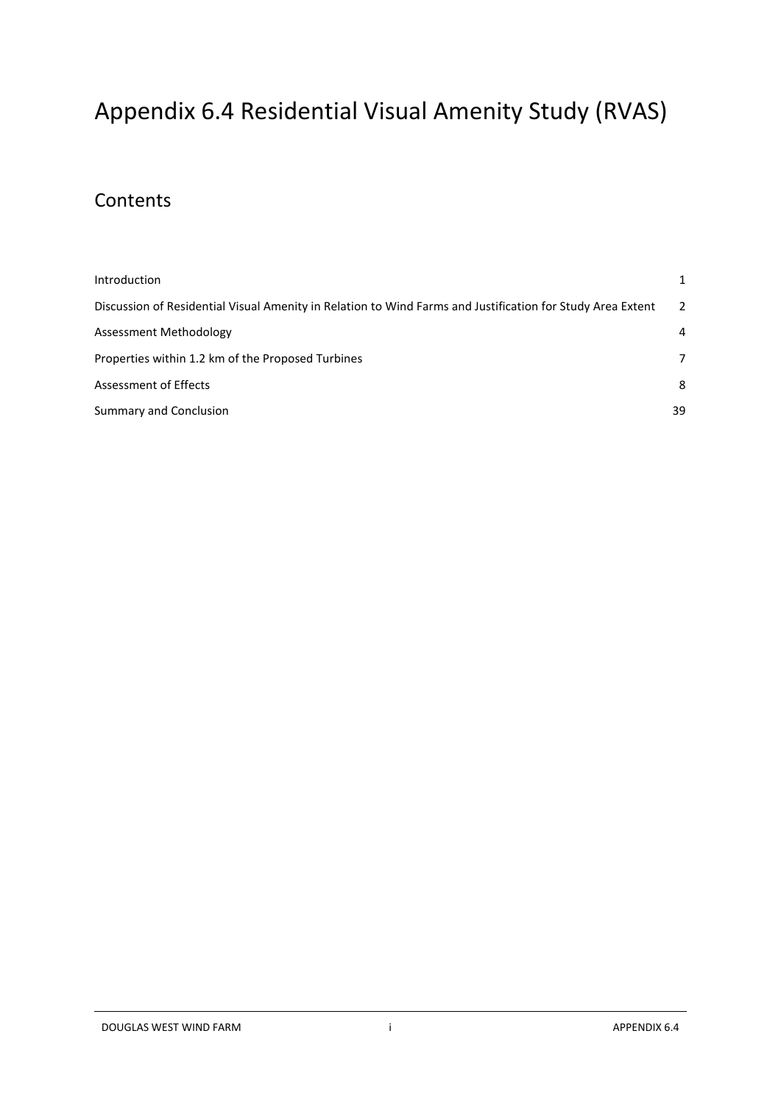# Appendix 6.4 Residential Visual Amenity Study (RVAS)

# **Contents**

| <b>Introduction</b>                                                                                        |    |
|------------------------------------------------------------------------------------------------------------|----|
| Discussion of Residential Visual Amenity in Relation to Wind Farms and Justification for Study Area Extent | 2  |
| Assessment Methodology                                                                                     | 4  |
| Properties within 1.2 km of the Proposed Turbines                                                          | 7  |
| Assessment of Effects                                                                                      | 8  |
| Summary and Conclusion                                                                                     | 39 |
|                                                                                                            |    |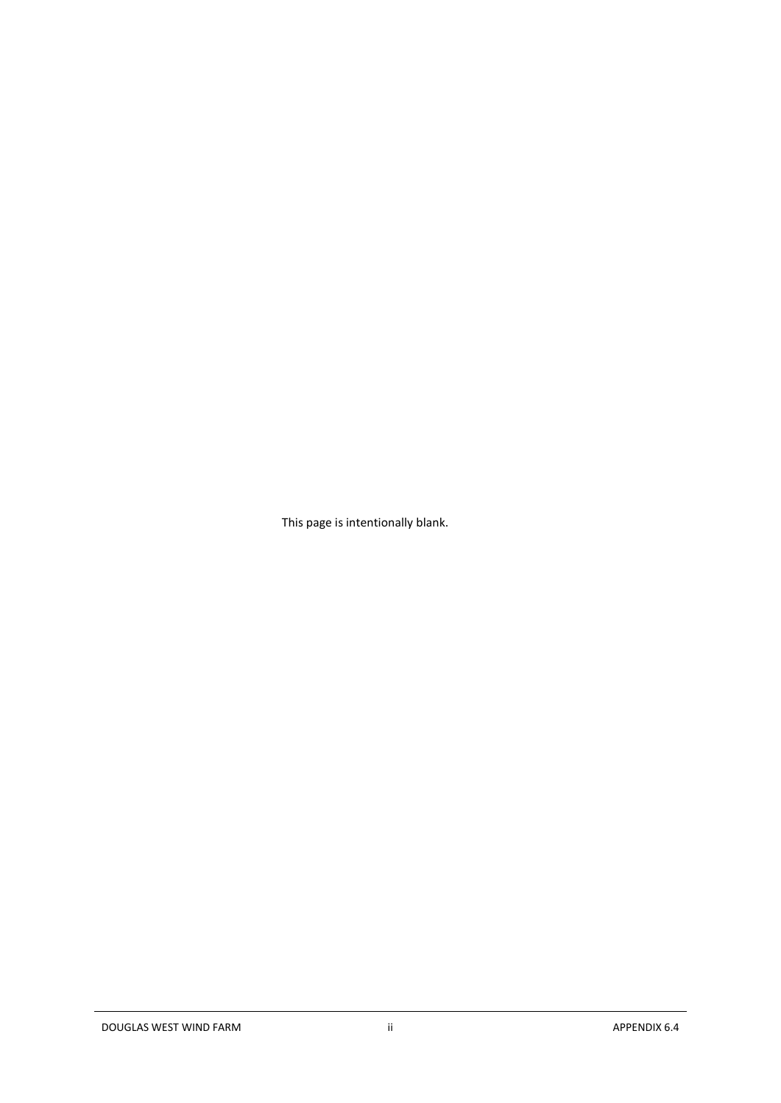This page is intentionally blank.

DOUGLAS WEST WIND FARM **ii APPENDIX 6.4**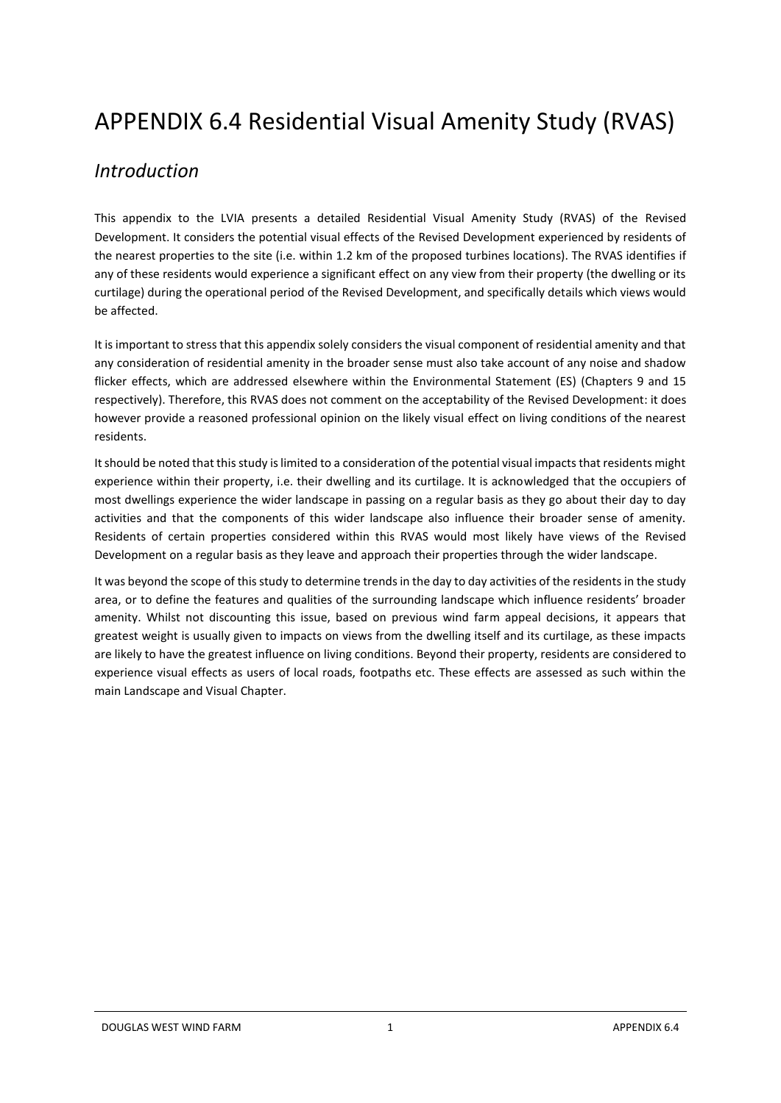# APPENDIX 6.4 Residential Visual Amenity Study (RVAS)

## <span id="page-2-0"></span>*Introduction*

This appendix to the LVIA presents a detailed Residential Visual Amenity Study (RVAS) of the Revised Development. It considers the potential visual effects of the Revised Development experienced by residents of the nearest properties to the site (i.e. within 1.2 km of the proposed turbines locations). The RVAS identifies if any of these residents would experience a significant effect on any view from their property (the dwelling or its curtilage) during the operational period of the Revised Development, and specifically details which views would be affected.

It is important to stress that this appendix solely considers the visual component of residential amenity and that any consideration of residential amenity in the broader sense must also take account of any noise and shadow flicker effects, which are addressed elsewhere within the Environmental Statement (ES) (Chapters 9 and 15 respectively). Therefore, this RVAS does not comment on the acceptability of the Revised Development: it does however provide a reasoned professional opinion on the likely visual effect on living conditions of the nearest residents.

It should be noted that this study is limited to a consideration of the potential visual impacts that residents might experience within their property, i.e. their dwelling and its curtilage. It is acknowledged that the occupiers of most dwellings experience the wider landscape in passing on a regular basis as they go about their day to day activities and that the components of this wider landscape also influence their broader sense of amenity. Residents of certain properties considered within this RVAS would most likely have views of the Revised Development on a regular basis as they leave and approach their properties through the wider landscape.

It was beyond the scope of this study to determine trends in the day to day activities of the residents in the study area, or to define the features and qualities of the surrounding landscape which influence residents' broader amenity. Whilst not discounting this issue, based on previous wind farm appeal decisions, it appears that greatest weight is usually given to impacts on views from the dwelling itself and its curtilage, as these impacts are likely to have the greatest influence on living conditions. Beyond their property, residents are considered to experience visual effects as users of local roads, footpaths etc. These effects are assessed as such within the main Landscape and Visual Chapter.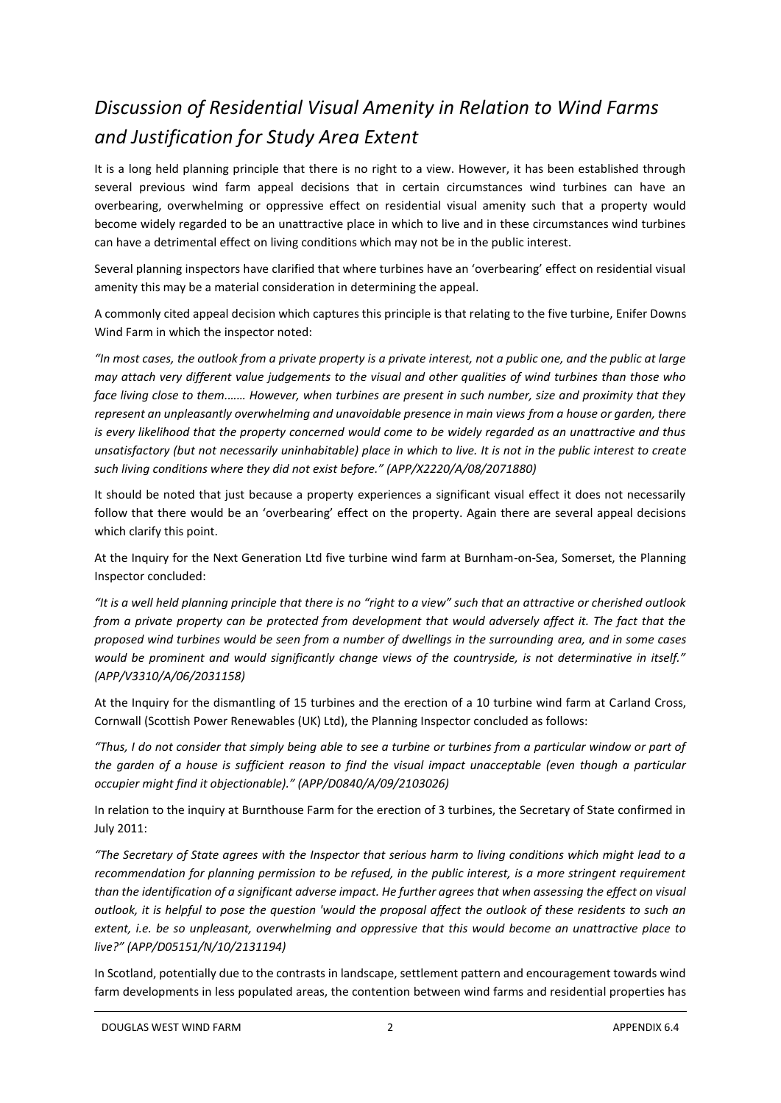# <span id="page-3-0"></span>*Discussion of Residential Visual Amenity in Relation to Wind Farms and Justification for Study Area Extent*

It is a long held planning principle that there is no right to a view. However, it has been established through several previous wind farm appeal decisions that in certain circumstances wind turbines can have an overbearing, overwhelming or oppressive effect on residential visual amenity such that a property would become widely regarded to be an unattractive place in which to live and in these circumstances wind turbines can have a detrimental effect on living conditions which may not be in the public interest.

Several planning inspectors have clarified that where turbines have an 'overbearing' effect on residential visual amenity this may be a material consideration in determining the appeal.

A commonly cited appeal decision which captures this principle is that relating to the five turbine, Enifer Downs Wind Farm in which the inspector noted:

*"In most cases, the outlook from a private property is a private interest, not a public one, and the public at large may attach very different value judgements to the visual and other qualities of wind turbines than those who face living close to them.…… However, when turbines are present in such number, size and proximity that they represent an unpleasantly overwhelming and unavoidable presence in main views from a house or garden, there is every likelihood that the property concerned would come to be widely regarded as an unattractive and thus unsatisfactory (but not necessarily uninhabitable) place in which to live. It is not in the public interest to create such living conditions where they did not exist before." (APP/X2220/A/08/2071880)*

It should be noted that just because a property experiences a significant visual effect it does not necessarily follow that there would be an 'overbearing' effect on the property. Again there are several appeal decisions which clarify this point.

At the Inquiry for the Next Generation Ltd five turbine wind farm at Burnham-on-Sea, Somerset, the Planning Inspector concluded:

*"It is a well held planning principle that there is no "right to a view" such that an attractive or cherished outlook from a private property can be protected from development that would adversely affect it. The fact that the proposed wind turbines would be seen from a number of dwellings in the surrounding area, and in some cases would be prominent and would significantly change views of the countryside, is not determinative in itself." (APP/V3310/A/06/2031158)*

At the Inquiry for the dismantling of 15 turbines and the erection of a 10 turbine wind farm at Carland Cross, Cornwall (Scottish Power Renewables (UK) Ltd), the Planning Inspector concluded as follows:

*"Thus, I do not consider that simply being able to see a turbine or turbines from a particular window or part of the garden of a house is sufficient reason to find the visual impact unacceptable (even though a particular occupier might find it objectionable)." (APP/D0840/A/09/2103026)*

In relation to the inquiry at Burnthouse Farm for the erection of 3 turbines, the Secretary of State confirmed in July 2011:

*"The Secretary of State agrees with the Inspector that serious harm to living conditions which might lead to a recommendation for planning permission to be refused, in the public interest, is a more stringent requirement than the identification of a significant adverse impact. He further agrees that when assessing the effect on visual outlook, it is helpful to pose the question 'would the proposal affect the outlook of these residents to such an extent, i.e. be so unpleasant, overwhelming and oppressive that this would become an unattractive place to live?" (APP/D05151/N/10/2131194)*

In Scotland, potentially due to the contrasts in landscape, settlement pattern and encouragement towards wind farm developments in less populated areas, the contention between wind farms and residential properties has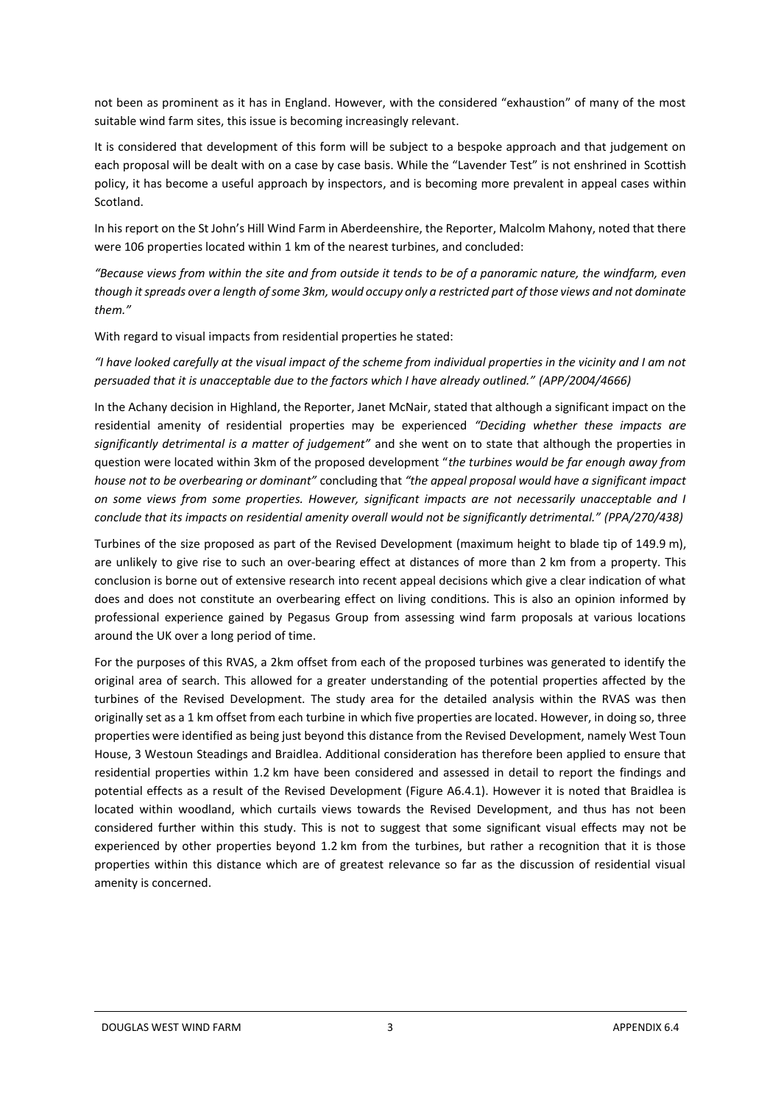not been as prominent as it has in England. However, with the considered "exhaustion" of many of the most suitable wind farm sites, this issue is becoming increasingly relevant.

It is considered that development of this form will be subject to a bespoke approach and that judgement on each proposal will be dealt with on a case by case basis. While the "Lavender Test" is not enshrined in Scottish policy, it has become a useful approach by inspectors, and is becoming more prevalent in appeal cases within Scotland.

In his report on the St John's Hill Wind Farm in Aberdeenshire, the Reporter, Malcolm Mahony, noted that there were 106 properties located within 1 km of the nearest turbines, and concluded:

*"Because views from within the site and from outside it tends to be of a panoramic nature, the windfarm, even though it spreads over a length of some 3km, would occupy only a restricted part of those views and not dominate them."*

With regard to visual impacts from residential properties he stated:

*"I have looked carefully at the visual impact of the scheme from individual properties in the vicinity and I am not persuaded that it is unacceptable due to the factors which I have already outlined." [\(APP/2004/4666\)](http://www.aberdeenshire.gov.uk/planning/apps/detail.asp?ref_no=APP/2004/4666)*

In the Achany decision in Highland, the Reporter, Janet McNair, stated that although a significant impact on the residential amenity of residential properties may be experienced *"Deciding whether these impacts are significantly detrimental is a matter of judgement"* and she went on to state that although the properties in question were located within 3km of the proposed development "*the turbines would be far enough away from house not to be overbearing or dominant"* concluding that *"the appeal proposal would have a significant impact on some views from some properties. However, significant impacts are not necessarily unacceptable and I conclude that its impacts on residential amenity overall would not be significantly detrimental." (PPA/270/438)*

Turbines of the size proposed as part of the Revised Development (maximum height to blade tip of 149.9 m), are unlikely to give rise to such an over-bearing effect at distances of more than 2 km from a property. This conclusion is borne out of extensive research into recent appeal decisions which give a clear indication of what does and does not constitute an overbearing effect on living conditions. This is also an opinion informed by professional experience gained by Pegasus Group from assessing wind farm proposals at various locations around the UK over a long period of time.

For the purposes of this RVAS, a 2km offset from each of the proposed turbines was generated to identify the original area of search. This allowed for a greater understanding of the potential properties affected by the turbines of the Revised Development. The study area for the detailed analysis within the RVAS was then originally set as a 1 km offset from each turbine in which five properties are located. However, in doing so, three properties were identified as being just beyond this distance from the Revised Development, namely West Toun House, 3 Westoun Steadings and Braidlea. Additional consideration has therefore been applied to ensure that residential properties within 1.2 km have been considered and assessed in detail to report the findings and potential effects as a result of the Revised Development (Figure A6.4.1). However it is noted that Braidlea is located within woodland, which curtails views towards the Revised Development, and thus has not been considered further within this study. This is not to suggest that some significant visual effects may not be experienced by other properties beyond 1.2 km from the turbines, but rather a recognition that it is those properties within this distance which are of greatest relevance so far as the discussion of residential visual amenity is concerned.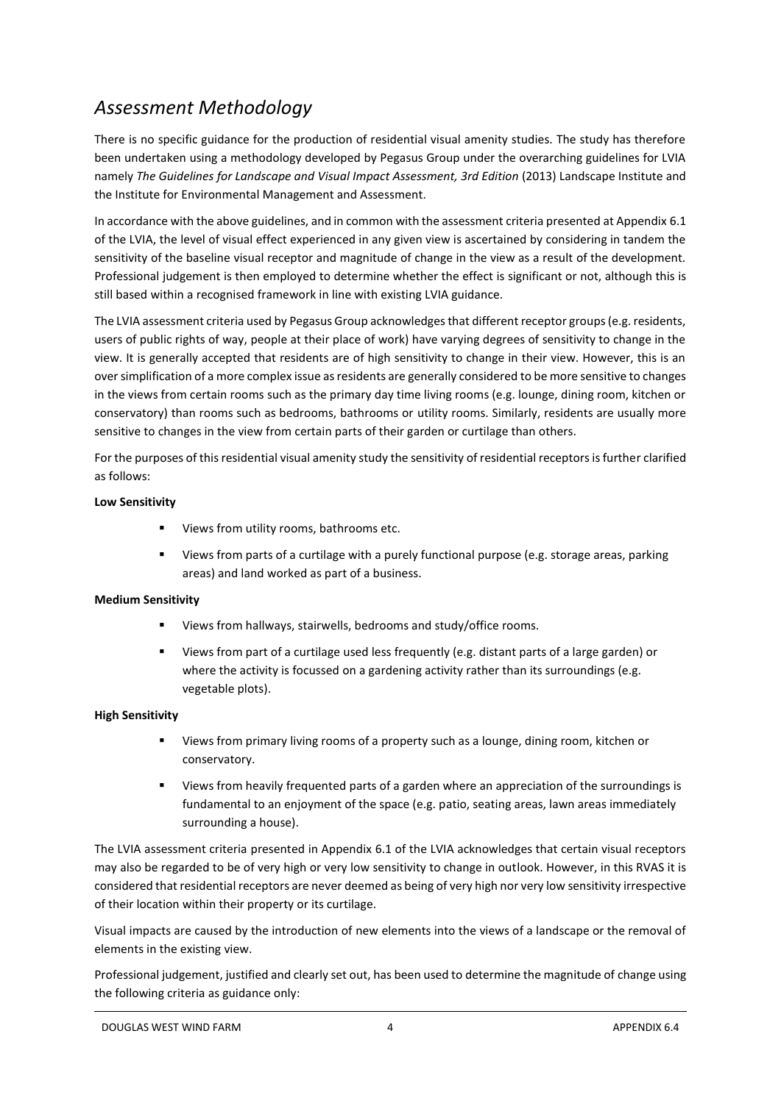# <span id="page-5-0"></span>*Assessment Methodology*

There is no specific guidance for the production of residential visual amenity studies. The study has therefore been undertaken using a methodology developed by Pegasus Group under the overarching guidelines for LVIA namely *The Guidelines for Landscape and Visual Impact Assessment, 3rd Edition* (2013) Landscape Institute and the Institute for Environmental Management and Assessment.

In accordance with the above guidelines, and in common with the assessment criteria presented at Appendix 6.1 of the LVIA, the level of visual effect experienced in any given view is ascertained by considering in tandem the sensitivity of the baseline visual receptor and magnitude of change in the view as a result of the development. Professional judgement is then employed to determine whether the effect is significant or not, although this is still based within a recognised framework in line with existing LVIA guidance.

The LVIA assessment criteria used by Pegasus Group acknowledges that different receptor groups (e.g. residents, users of public rights of way, people at their place of work) have varying degrees of sensitivity to change in the view. It is generally accepted that residents are of high sensitivity to change in their view. However, this is an over simplification of a more complex issue as residents are generally considered to be more sensitive to changes in the views from certain rooms such as the primary day time living rooms (e.g. lounge, dining room, kitchen or conservatory) than rooms such as bedrooms, bathrooms or utility rooms. Similarly, residents are usually more sensitive to changes in the view from certain parts of their garden or curtilage than others.

For the purposes of this residential visual amenity study the sensitivity of residential receptors is further clarified as follows:

## **Low Sensitivity**

- Views from utility rooms, bathrooms etc.
- Views from parts of a curtilage with a purely functional purpose (e.g. storage areas, parking areas) and land worked as part of a business.

## **Medium Sensitivity**

- Views from hallways, stairwells, bedrooms and study/office rooms.
- Views from part of a curtilage used less frequently (e.g. distant parts of a large garden) or where the activity is focussed on a gardening activity rather than its surroundings (e.g. vegetable plots).

## **High Sensitivity**

- Views from primary living rooms of a property such as a lounge, dining room, kitchen or conservatory.
- Views from heavily frequented parts of a garden where an appreciation of the surroundings is fundamental to an enjoyment of the space (e.g. patio, seating areas, lawn areas immediately surrounding a house).

The LVIA assessment criteria presented in Appendix 6.1 of the LVIA acknowledges that certain visual receptors may also be regarded to be of very high or very low sensitivity to change in outlook. However, in this RVAS it is considered that residential receptors are never deemed as being of very high nor very low sensitivity irrespective of their location within their property or its curtilage.

Visual impacts are caused by the introduction of new elements into the views of a landscape or the removal of elements in the existing view.

Professional judgement, justified and clearly set out, has been used to determine the magnitude of change using the following criteria as guidance only: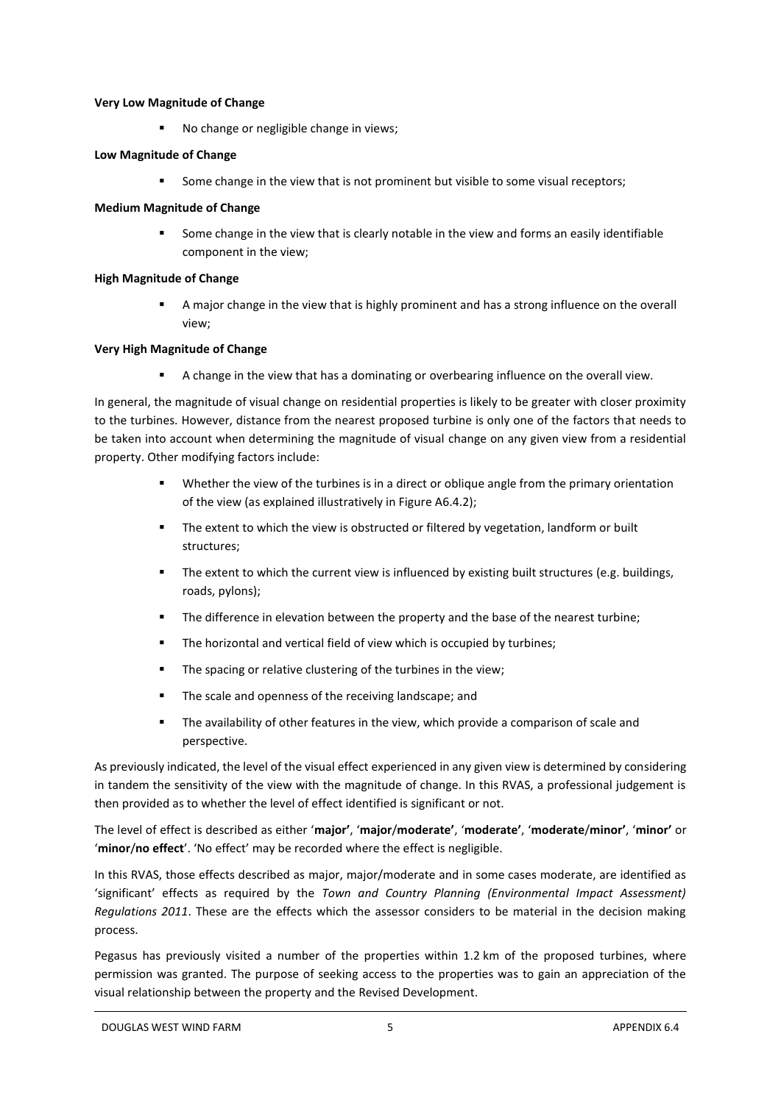## **Very Low Magnitude of Change**

No change or negligible change in views:

### **Low Magnitude of Change**

Some change in the view that is not prominent but visible to some visual receptors;

### **Medium Magnitude of Change**

 Some change in the view that is clearly notable in the view and forms an easily identifiable component in the view;

## **High Magnitude of Change**

 A major change in the view that is highly prominent and has a strong influence on the overall view;

## **Very High Magnitude of Change**

A change in the view that has a dominating or overbearing influence on the overall view.

In general, the magnitude of visual change on residential properties is likely to be greater with closer proximity to the turbines. However, distance from the nearest proposed turbine is only one of the factors that needs to be taken into account when determining the magnitude of visual change on any given view from a residential property. Other modifying factors include:

- Whether the view of the turbines is in a direct or oblique angle from the primary orientation of the view (as explained illustratively in Figure A6.4.2);
- The extent to which the view is obstructed or filtered by vegetation, landform or built structures;
- The extent to which the current view is influenced by existing built structures (e.g. buildings, roads, pylons);
- **The difference in elevation between the property and the base of the nearest turbine;**
- **The horizontal and vertical field of view which is occupied by turbines;**
- The spacing or relative clustering of the turbines in the view:
- The scale and openness of the receiving landscape; and
- **The availability of other features in the view, which provide a comparison of scale and** perspective.

As previously indicated, the level of the visual effect experienced in any given view is determined by considering in tandem the sensitivity of the view with the magnitude of change. In this RVAS, a professional judgement is then provided as to whether the level of effect identified is significant or not.

The level of effect is described as either '**major'**, '**major**/**moderate'**, '**moderate'**, '**moderate**/**minor'**, '**minor'** or '**minor**/**no effect**'. 'No effect' may be recorded where the effect is negligible.

In this RVAS, those effects described as major, major/moderate and in some cases moderate, are identified as 'significant' effects as required by the *Town and Country Planning (Environmental Impact Assessment) Regulations 2011*. These are the effects which the assessor considers to be material in the decision making process.

Pegasus has previously visited a number of the properties within 1.2 km of the proposed turbines, where permission was granted. The purpose of seeking access to the properties was to gain an appreciation of the visual relationship between the property and the Revised Development.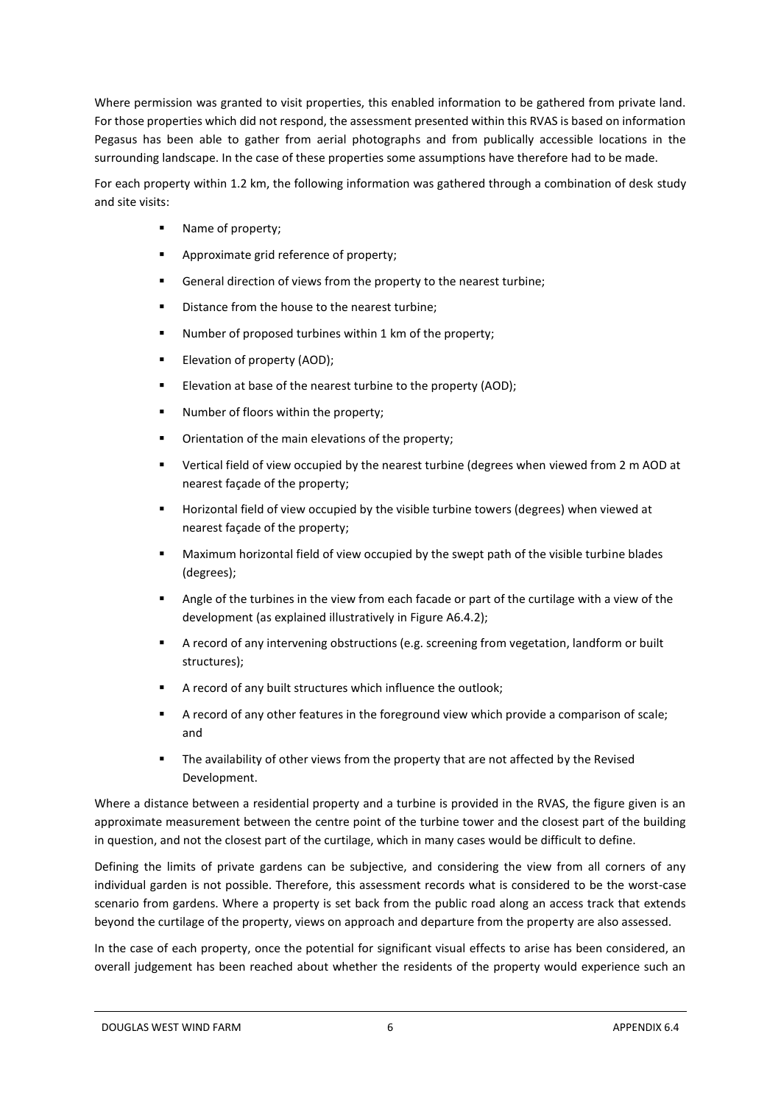Where permission was granted to visit properties, this enabled information to be gathered from private land. For those properties which did not respond, the assessment presented within this RVAS is based on information Pegasus has been able to gather from aerial photographs and from publically accessible locations in the surrounding landscape. In the case of these properties some assumptions have therefore had to be made.

For each property within 1.2 km, the following information was gathered through a combination of desk study and site visits:

- Name of property;
- **Approximate grid reference of property;**
- General direction of views from the property to the nearest turbine;
- Distance from the house to the nearest turbine;
- Number of proposed turbines within 1 km of the property;
- **Elevation of property (AOD);**
- **Elevation at base of the nearest turbine to the property (AOD);**
- Number of floors within the property;
- **•** Orientation of the main elevations of the property;
- Vertical field of view occupied by the nearest turbine (degrees when viewed from 2 m AOD at nearest façade of the property;
- Horizontal field of view occupied by the visible turbine towers (degrees) when viewed at nearest façade of the property;
- Maximum horizontal field of view occupied by the swept path of the visible turbine blades (degrees);
- Angle of the turbines in the view from each facade or part of the curtilage with a view of the development (as explained illustratively in Figure A6.4.2);
- A record of any intervening obstructions (e.g. screening from vegetation, landform or built structures);
- A record of any built structures which influence the outlook;
- A record of any other features in the foreground view which provide a comparison of scale; and
- The availability of other views from the property that are not affected by the Revised Development.

Where a distance between a residential property and a turbine is provided in the RVAS, the figure given is an approximate measurement between the centre point of the turbine tower and the closest part of the building in question, and not the closest part of the curtilage, which in many cases would be difficult to define.

Defining the limits of private gardens can be subjective, and considering the view from all corners of any individual garden is not possible. Therefore, this assessment records what is considered to be the worst-case scenario from gardens. Where a property is set back from the public road along an access track that extends beyond the curtilage of the property, views on approach and departure from the property are also assessed.

In the case of each property, once the potential for significant visual effects to arise has been considered, an overall judgement has been reached about whether the residents of the property would experience such an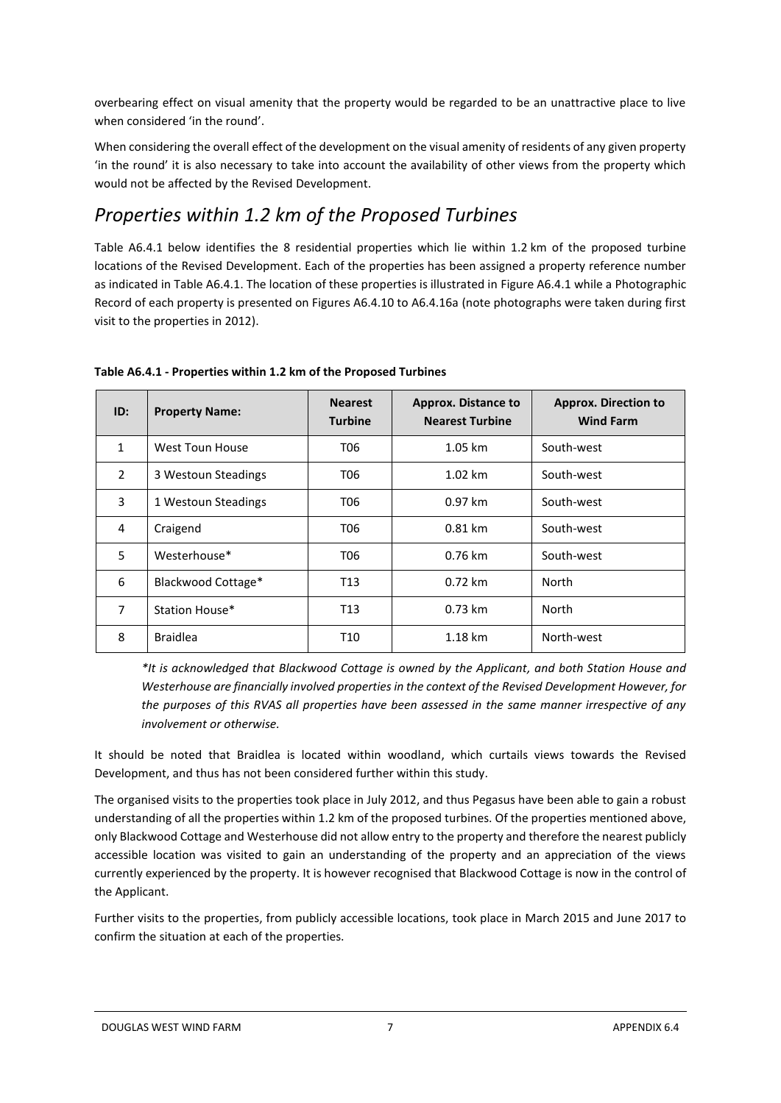overbearing effect on visual amenity that the property would be regarded to be an unattractive place to live when considered 'in the round'.

When considering the overall effect of the development on the visual amenity of residents of any given property 'in the round' it is also necessary to take into account the availability of other views from the property which would not be affected by the Revised Development.

# <span id="page-8-0"></span>*Properties within 1.2 km of the Proposed Turbines*

Table A6.4.1 below identifies the 8 residential properties which lie within 1.2 km of the proposed turbine locations of the Revised Development. Each of the properties has been assigned a property reference number as indicated in Table A6.4.1. The location of these properties is illustrated in Figure A6.4.1 while a Photographic Record of each property is presented on Figures A6.4.10 to A6.4.16a (note photographs were taken during first visit to the properties in 2012).

| ID:            | <b>Property Name:</b> | <b>Nearest</b><br><b>Turbine</b> | <b>Approx. Distance to</b><br><b>Nearest Turbine</b> | <b>Approx. Direction to</b><br><b>Wind Farm</b> |
|----------------|-----------------------|----------------------------------|------------------------------------------------------|-------------------------------------------------|
| $\mathbf{1}$   | West Toun House       | T <sub>06</sub>                  | $1.05$ km                                            | South-west                                      |
| $\overline{2}$ | 3 Westoun Steadings   | T06                              | $1.02$ km                                            | South-west                                      |
| 3              | 1 Westoun Steadings   | T <sub>06</sub>                  | $0.97$ km                                            | South-west                                      |
| 4              | Craigend              | T06                              | $0.81$ km                                            | South-west                                      |
| 5              | Westerhouse*          | T <sub>06</sub>                  | $0.76$ km                                            | South-west                                      |
| 6              | Blackwood Cottage*    | T <sub>13</sub>                  | $0.72$ km                                            | North                                           |
| 7              | Station House*        | T <sub>13</sub>                  | $0.73$ km                                            | North                                           |
| 8              | <b>Braidlea</b>       | T <sub>10</sub>                  | $1.18 \text{ km}$                                    | North-west                                      |

**Table A6.4.1 - Properties within 1.2 km of the Proposed Turbines**

*\*It is acknowledged that Blackwood Cottage is owned by the Applicant, and both Station House and Westerhouse are financially involved properties in the context of the Revised Development However, for the purposes of this RVAS all properties have been assessed in the same manner irrespective of any involvement or otherwise.*

It should be noted that Braidlea is located within woodland, which curtails views towards the Revised Development, and thus has not been considered further within this study.

The organised visits to the properties took place in July 2012, and thus Pegasus have been able to gain a robust understanding of all the properties within 1.2 km of the proposed turbines. Of the properties mentioned above, only Blackwood Cottage and Westerhouse did not allow entry to the property and therefore the nearest publicly accessible location was visited to gain an understanding of the property and an appreciation of the views currently experienced by the property. It is however recognised that Blackwood Cottage is now in the control of the Applicant.

Further visits to the properties, from publicly accessible locations, took place in March 2015 and June 2017 to confirm the situation at each of the properties.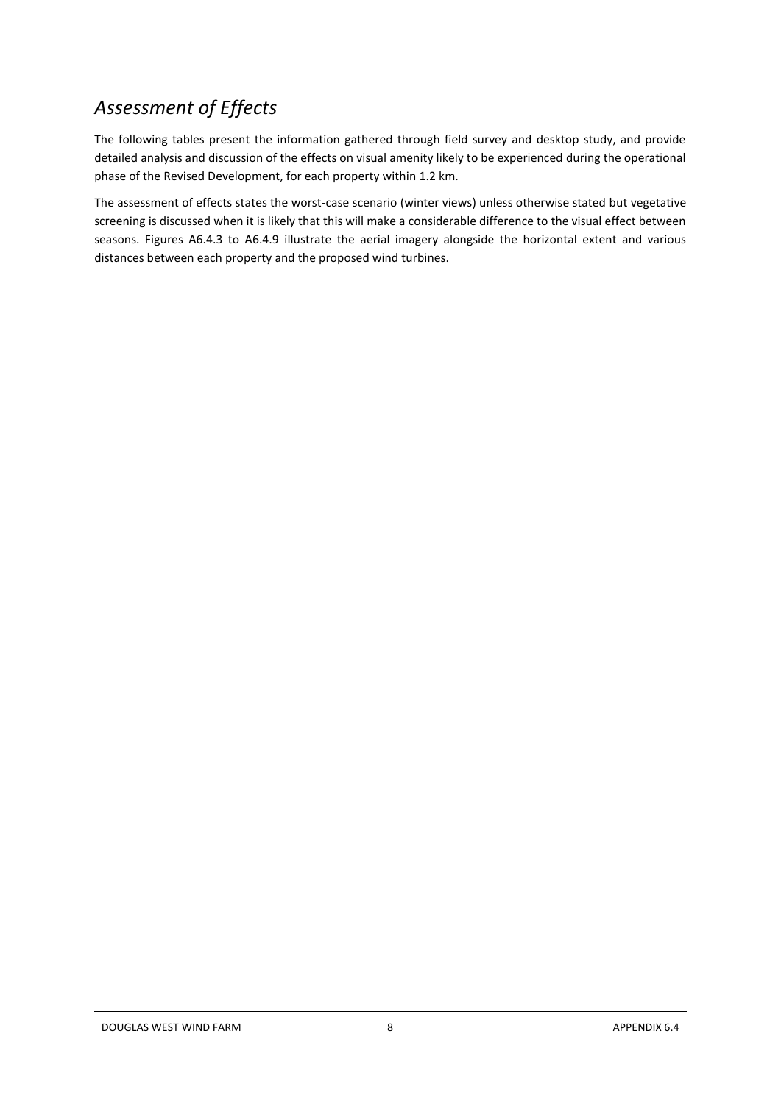# <span id="page-9-0"></span>*Assessment of Effects*

The following tables present the information gathered through field survey and desktop study, and provide detailed analysis and discussion of the effects on visual amenity likely to be experienced during the operational phase of the Revised Development, for each property within 1.2 km.

The assessment of effects states the worst-case scenario (winter views) unless otherwise stated but vegetative screening is discussed when it is likely that this will make a considerable difference to the visual effect between seasons. Figures A6.4.3 to A6.4.9 illustrate the aerial imagery alongside the horizontal extent and various distances between each property and the proposed wind turbines.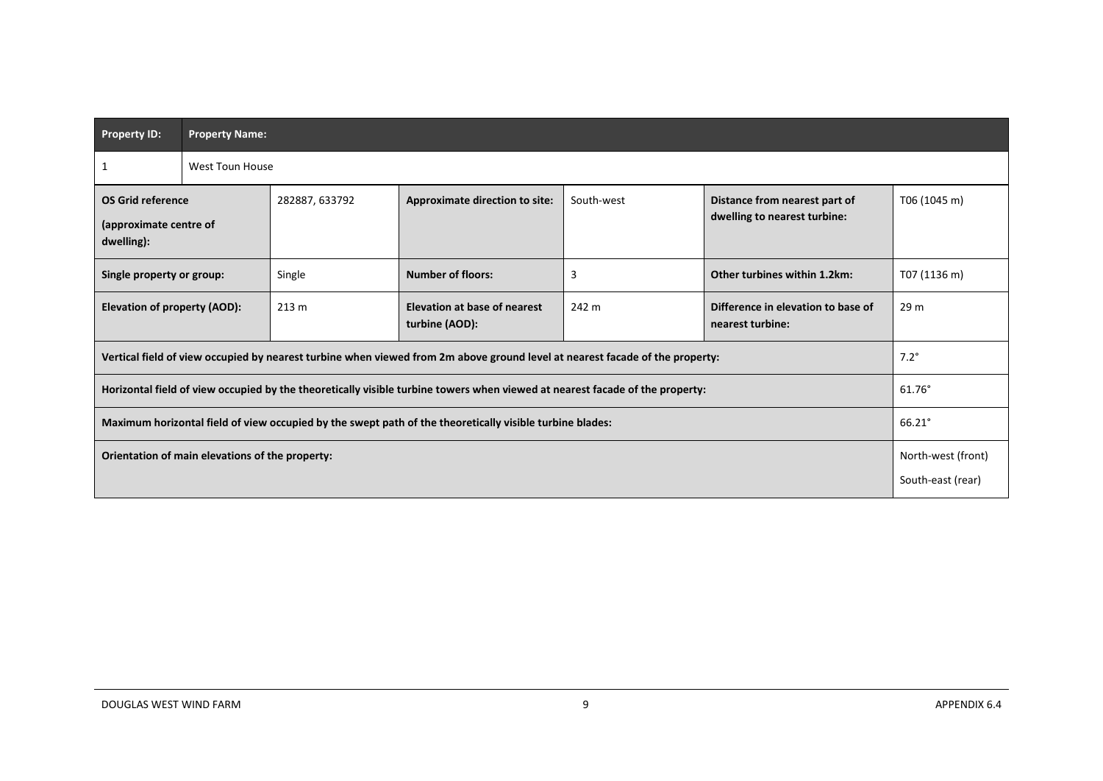| <b>Property ID:</b>                                                                                                          | <b>Property Name:</b> |                  |                                                       |                                         |                                                               |              |
|------------------------------------------------------------------------------------------------------------------------------|-----------------------|------------------|-------------------------------------------------------|-----------------------------------------|---------------------------------------------------------------|--------------|
| 1                                                                                                                            | West Toun House       |                  |                                                       |                                         |                                                               |              |
| <b>OS Grid reference</b><br>(approximate centre of<br>dwelling):                                                             |                       | 282887, 633792   | <b>Approximate direction to site:</b>                 | South-west                              | Distance from nearest part of<br>dwelling to nearest turbine: | T06 (1045 m) |
| Single property or group:                                                                                                    |                       | Single           | <b>Number of floors:</b>                              | 3                                       | Other turbines within 1.2km:                                  | T07 (1136 m) |
| Elevation of property (AOD):                                                                                                 |                       | 213 <sub>m</sub> | <b>Elevation at base of nearest</b><br>turbine (AOD): | 242 m                                   | Difference in elevation to base of<br>nearest turbine:        | 29 m         |
| Vertical field of view occupied by nearest turbine when viewed from 2m above ground level at nearest facade of the property: |                       |                  |                                                       | $7.2^\circ$                             |                                                               |              |
| Horizontal field of view occupied by the theoretically visible turbine towers when viewed at nearest facade of the property: |                       |                  | $61.76^\circ$                                         |                                         |                                                               |              |
| Maximum horizontal field of view occupied by the swept path of the theoretically visible turbine blades:                     |                       |                  | $66.21^{\circ}$                                       |                                         |                                                               |              |
| Orientation of main elevations of the property:                                                                              |                       |                  |                                                       | North-west (front)<br>South-east (rear) |                                                               |              |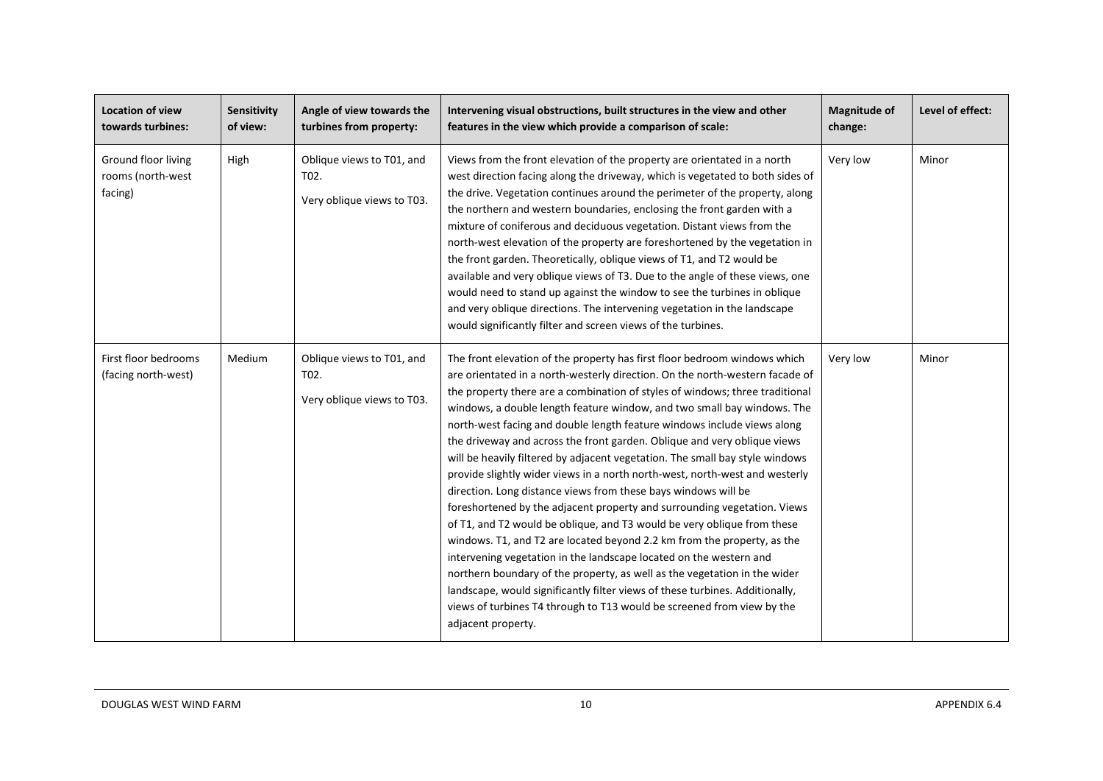| <b>Location of view</b><br>towards turbines:        | Sensitivity<br>of view: | Angle of view towards the<br>turbines from property:            | Intervening visual obstructions, built structures in the view and other<br>features in the view which provide a comparison of scale:                                                                                                                                                                                                                                                                                                                                                                                                                                                                                                                                                                                                                                                                                                                                                                                                                                                                                                                                                                                                                                                                                                                                              | <b>Magnitude of</b><br>change: | Level of effect: |
|-----------------------------------------------------|-------------------------|-----------------------------------------------------------------|-----------------------------------------------------------------------------------------------------------------------------------------------------------------------------------------------------------------------------------------------------------------------------------------------------------------------------------------------------------------------------------------------------------------------------------------------------------------------------------------------------------------------------------------------------------------------------------------------------------------------------------------------------------------------------------------------------------------------------------------------------------------------------------------------------------------------------------------------------------------------------------------------------------------------------------------------------------------------------------------------------------------------------------------------------------------------------------------------------------------------------------------------------------------------------------------------------------------------------------------------------------------------------------|--------------------------------|------------------|
| Ground floor living<br>rooms (north-west<br>facing) | High                    | Oblique views to T01, and<br>T02.<br>Very oblique views to T03. | Views from the front elevation of the property are orientated in a north<br>west direction facing along the driveway, which is vegetated to both sides of<br>the drive. Vegetation continues around the perimeter of the property, along<br>the northern and western boundaries, enclosing the front garden with a<br>mixture of coniferous and deciduous vegetation. Distant views from the<br>north-west elevation of the property are foreshortened by the vegetation in<br>the front garden. Theoretically, oblique views of T1, and T2 would be<br>available and very oblique views of T3. Due to the angle of these views, one<br>would need to stand up against the window to see the turbines in oblique<br>and very oblique directions. The intervening vegetation in the landscape<br>would significantly filter and screen views of the turbines.                                                                                                                                                                                                                                                                                                                                                                                                                      | Very low                       | Minor            |
| First floor bedrooms<br>(facing north-west)         | Medium                  | Oblique views to T01, and<br>T02.<br>Very oblique views to T03. | The front elevation of the property has first floor bedroom windows which<br>are orientated in a north-westerly direction. On the north-western facade of<br>the property there are a combination of styles of windows; three traditional<br>windows, a double length feature window, and two small bay windows. The<br>north-west facing and double length feature windows include views along<br>the driveway and across the front garden. Oblique and very oblique views<br>will be heavily filtered by adjacent vegetation. The small bay style windows<br>provide slightly wider views in a north north-west, north-west and westerly<br>direction. Long distance views from these bays windows will be<br>foreshortened by the adjacent property and surrounding vegetation. Views<br>of T1, and T2 would be oblique, and T3 would be very oblique from these<br>windows. T1, and T2 are located beyond 2.2 km from the property, as the<br>intervening vegetation in the landscape located on the western and<br>northern boundary of the property, as well as the vegetation in the wider<br>landscape, would significantly filter views of these turbines. Additionally,<br>views of turbines T4 through to T13 would be screened from view by the<br>adjacent property. | Very low                       | Minor            |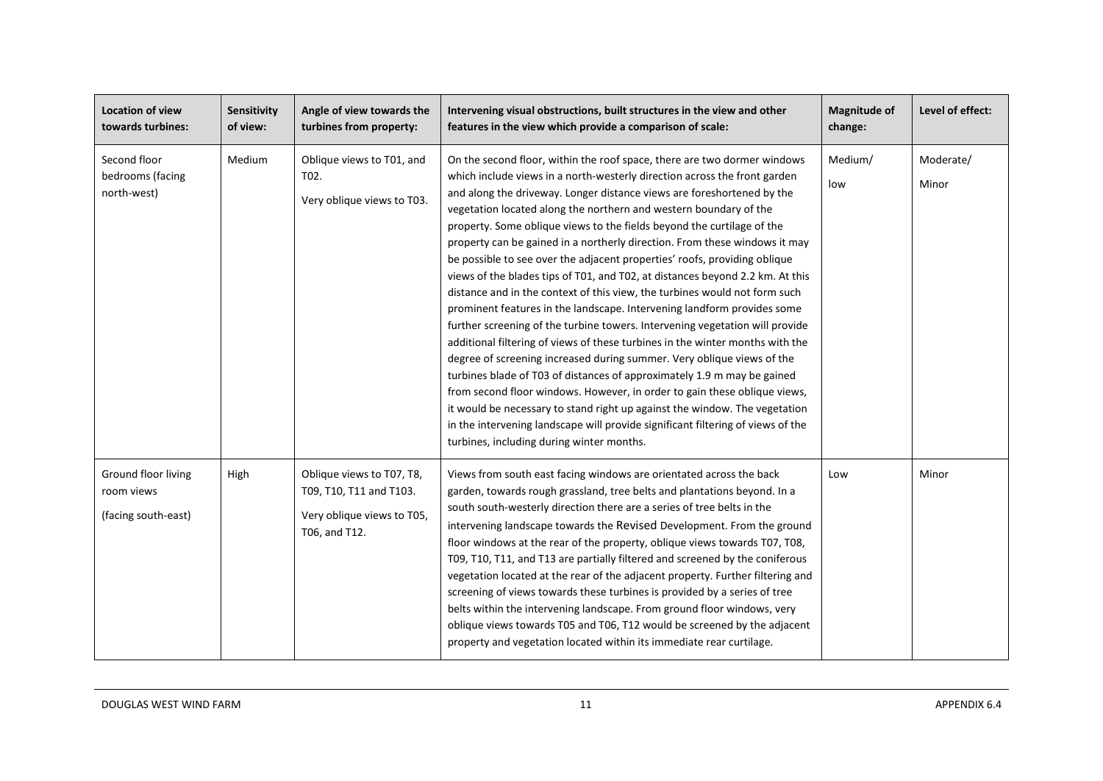| <b>Location of view</b><br>towards turbines:             | Sensitivity<br>of view: | Angle of view towards the<br>turbines from property:                                                | Intervening visual obstructions, built structures in the view and other<br>features in the view which provide a comparison of scale:                                                                                                                                                                                                                                                                                                                                                                                                                                                                                                                                                                                                                                                                                                                                                                                                                                                                                                                                                                                                                                                                                                                                                                                                                                                                 | <b>Magnitude of</b><br>change: | Level of effect:   |
|----------------------------------------------------------|-------------------------|-----------------------------------------------------------------------------------------------------|------------------------------------------------------------------------------------------------------------------------------------------------------------------------------------------------------------------------------------------------------------------------------------------------------------------------------------------------------------------------------------------------------------------------------------------------------------------------------------------------------------------------------------------------------------------------------------------------------------------------------------------------------------------------------------------------------------------------------------------------------------------------------------------------------------------------------------------------------------------------------------------------------------------------------------------------------------------------------------------------------------------------------------------------------------------------------------------------------------------------------------------------------------------------------------------------------------------------------------------------------------------------------------------------------------------------------------------------------------------------------------------------------|--------------------------------|--------------------|
| Second floor<br>bedrooms (facing<br>north-west)          | Medium                  | Oblique views to T01, and<br>T02.<br>Very oblique views to T03.                                     | On the second floor, within the roof space, there are two dormer windows<br>which include views in a north-westerly direction across the front garden<br>and along the driveway. Longer distance views are foreshortened by the<br>vegetation located along the northern and western boundary of the<br>property. Some oblique views to the fields beyond the curtilage of the<br>property can be gained in a northerly direction. From these windows it may<br>be possible to see over the adjacent properties' roofs, providing oblique<br>views of the blades tips of T01, and T02, at distances beyond 2.2 km. At this<br>distance and in the context of this view, the turbines would not form such<br>prominent features in the landscape. Intervening landform provides some<br>further screening of the turbine towers. Intervening vegetation will provide<br>additional filtering of views of these turbines in the winter months with the<br>degree of screening increased during summer. Very oblique views of the<br>turbines blade of T03 of distances of approximately 1.9 m may be gained<br>from second floor windows. However, in order to gain these oblique views,<br>it would be necessary to stand right up against the window. The vegetation<br>in the intervening landscape will provide significant filtering of views of the<br>turbines, including during winter months. | Medium/<br>low                 | Moderate/<br>Minor |
| Ground floor living<br>room views<br>(facing south-east) | High                    | Oblique views to T07, T8,<br>T09, T10, T11 and T103.<br>Very oblique views to T05,<br>T06, and T12. | Views from south east facing windows are orientated across the back<br>garden, towards rough grassland, tree belts and plantations beyond. In a<br>south south-westerly direction there are a series of tree belts in the<br>intervening landscape towards the Revised Development. From the ground<br>floor windows at the rear of the property, oblique views towards T07, T08,<br>T09, T10, T11, and T13 are partially filtered and screened by the coniferous<br>vegetation located at the rear of the adjacent property. Further filtering and<br>screening of views towards these turbines is provided by a series of tree<br>belts within the intervening landscape. From ground floor windows, very<br>oblique views towards T05 and T06, T12 would be screened by the adjacent<br>property and vegetation located within its immediate rear curtilage.                                                                                                                                                                                                                                                                                                                                                                                                                                                                                                                                      | Low                            | Minor              |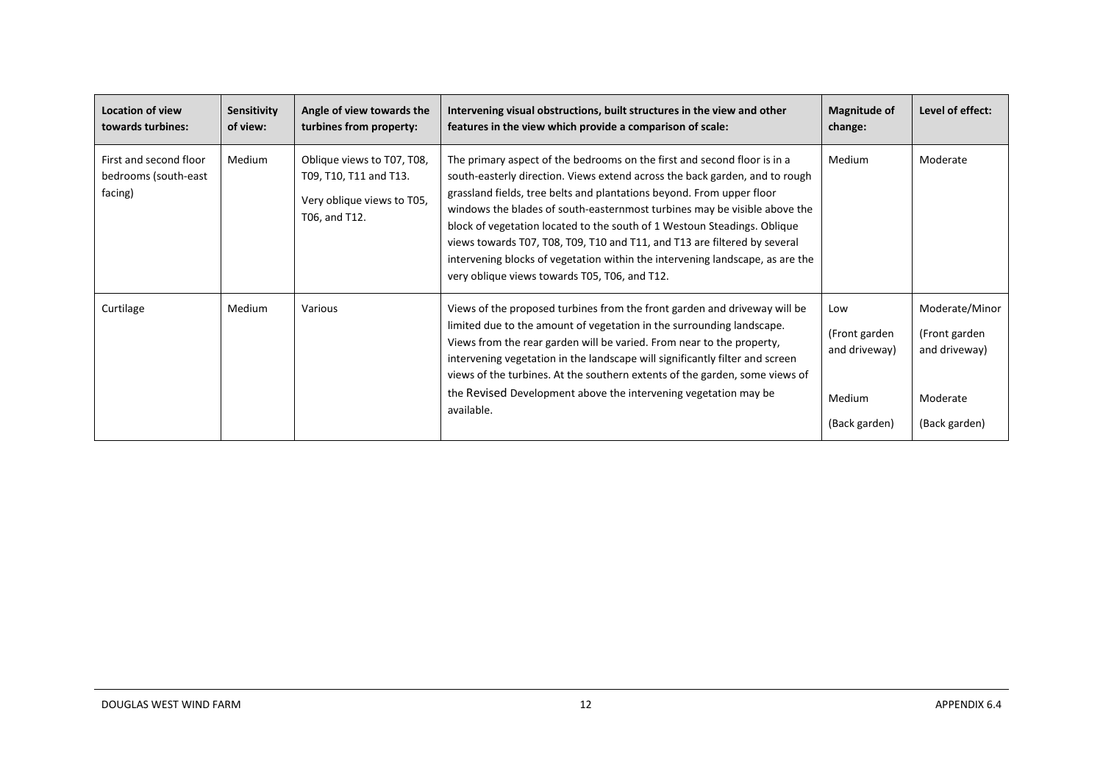| <b>Location of view</b><br>towards turbines:              | Sensitivity<br>of view: | Angle of view towards the<br>turbines from property:                                                | Intervening visual obstructions, built structures in the view and other<br>features in the view which provide a comparison of scale:                                                                                                                                                                                                                                                                                                                                                                                                                                                                     | <b>Magnitude of</b><br>change:                                   | Level of effect:                                                              |
|-----------------------------------------------------------|-------------------------|-----------------------------------------------------------------------------------------------------|----------------------------------------------------------------------------------------------------------------------------------------------------------------------------------------------------------------------------------------------------------------------------------------------------------------------------------------------------------------------------------------------------------------------------------------------------------------------------------------------------------------------------------------------------------------------------------------------------------|------------------------------------------------------------------|-------------------------------------------------------------------------------|
| First and second floor<br>bedrooms (south-east<br>facing) | Medium                  | Oblique views to T07, T08,<br>T09, T10, T11 and T13.<br>Very oblique views to T05,<br>T06, and T12. | The primary aspect of the bedrooms on the first and second floor is in a<br>south-easterly direction. Views extend across the back garden, and to rough<br>grassland fields, tree belts and plantations beyond. From upper floor<br>windows the blades of south-easternmost turbines may be visible above the<br>block of vegetation located to the south of 1 Westoun Steadings. Oblique<br>views towards T07, T08, T09, T10 and T11, and T13 are filtered by several<br>intervening blocks of vegetation within the intervening landscape, as are the<br>very oblique views towards T05, T06, and T12. | Medium                                                           | Moderate                                                                      |
| Curtilage                                                 | Medium                  | Various                                                                                             | Views of the proposed turbines from the front garden and driveway will be<br>limited due to the amount of vegetation in the surrounding landscape.<br>Views from the rear garden will be varied. From near to the property,<br>intervening vegetation in the landscape will significantly filter and screen<br>views of the turbines. At the southern extents of the garden, some views of<br>the Revised Development above the intervening vegetation may be<br>available.                                                                                                                              | Low<br>(Front garden<br>and driveway)<br>Medium<br>(Back garden) | Moderate/Minor<br>(Front garden<br>and driveway)<br>Moderate<br>(Back garden) |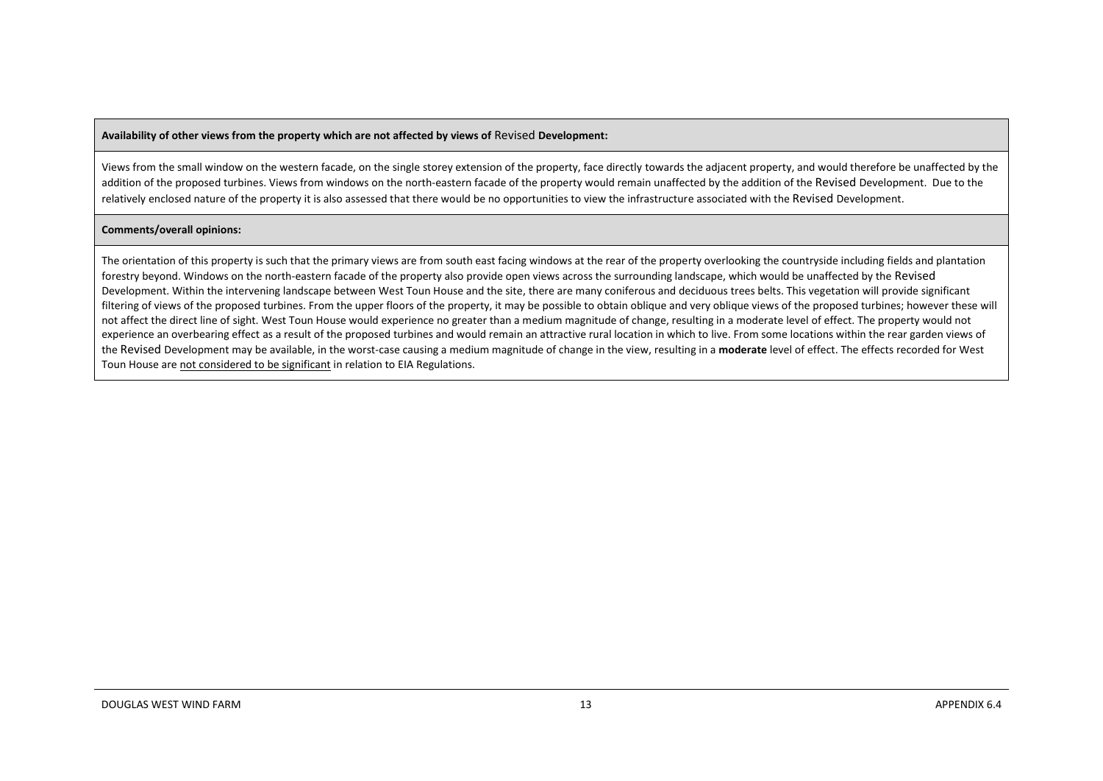Views from the small window on the western facade, on the single storey extension of the property, face directly towards the adjacent property, and would therefore be unaffected by the addition of the proposed turbines. Views from windows on the north-eastern facade of the property would remain unaffected by the addition of the Revised Development. Due to the relatively enclosed nature of the property it is also assessed that there would be no opportunities to view the infrastructure associated with the Revised Development.

#### **Comments/overall opinions:**

The orientation of this property is such that the primary views are from south east facing windows at the rear of the property overlooking the countryside including fields and plantation forestry beyond. Windows on the north-eastern facade of the property also provide open views across the surrounding landscape, which would be unaffected by the Revised Development. Within the intervening landscape between West Toun House and the site, there are many coniferous and deciduous trees belts. This vegetation will provide significant filtering of views of the proposed turbines. From the upper floors of the property, it may be possible to obtain oblique and very oblique views of the proposed turbines; however these will not affect the direct line of sight. West Toun House would experience no greater than a medium magnitude of change, resulting in a moderate level of effect. The property would not experience an overbearing effect as a result of the proposed turbines and would remain an attractive rural location in which to live. From some locations within the rear garden views of the Revised Development may be available, in the worst-case causing a medium magnitude of change in the view, resulting in a **moderate** level of effect. The effects recorded for West Toun House are not considered to be significant in relation to EIA Regulations.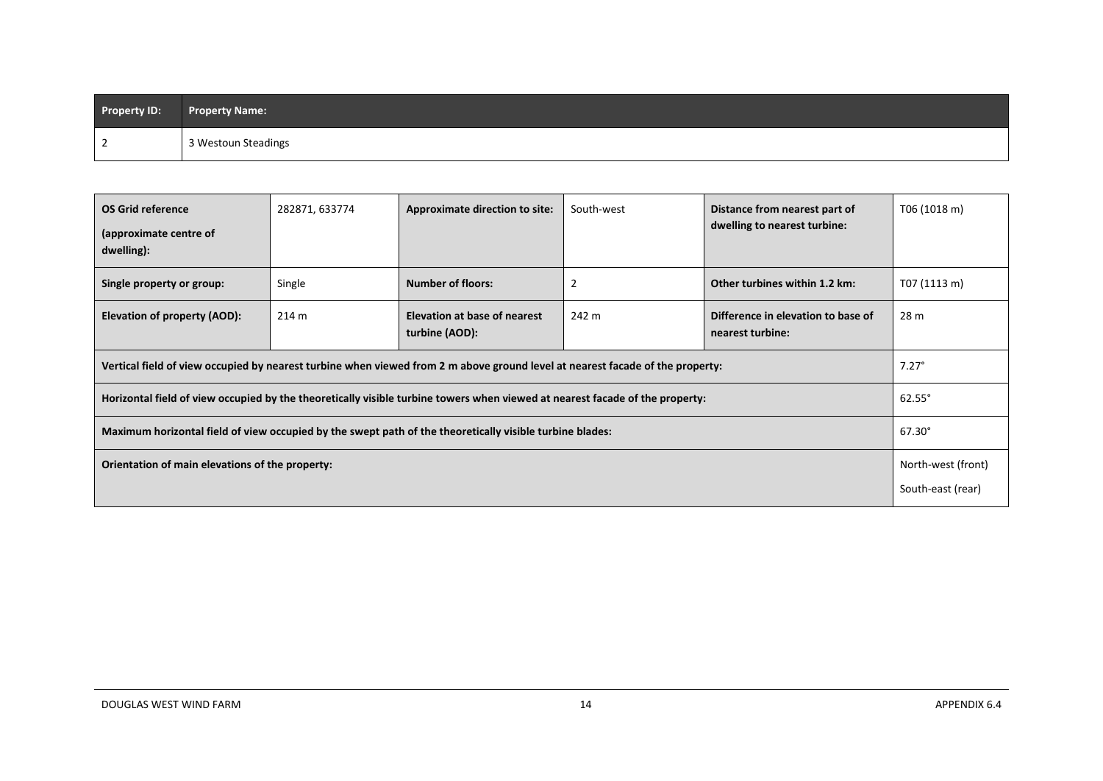| <b>Property ID:</b> | Property Name:      |
|---------------------|---------------------|
| ົາ                  | 3 Westoun Steadings |

| <b>OS Grid reference</b><br>(approximate centre of<br>dwelling):                                                              | 282871, 633774 | <b>Approximate direction to site:</b>                 | South-west      | Distance from nearest part of<br>dwelling to nearest turbine: | T06 (1018 m)  |
|-------------------------------------------------------------------------------------------------------------------------------|----------------|-------------------------------------------------------|-----------------|---------------------------------------------------------------|---------------|
| Single property or group:                                                                                                     | Single         | <b>Number of floors:</b>                              |                 | Other turbines within 1.2 km:                                 | T07 (1113 m)  |
| Elevation of property (AOD):                                                                                                  | 214 m          | <b>Elevation at base of nearest</b><br>turbine (AOD): | 242 m           | Difference in elevation to base of<br>nearest turbine:        | 28 m          |
| Vertical field of view occupied by nearest turbine when viewed from 2 m above ground level at nearest facade of the property: |                |                                                       |                 |                                                               | $7.27^\circ$  |
| Horizontal field of view occupied by the theoretically visible turbine towers when viewed at nearest facade of the property:  |                |                                                       |                 |                                                               | $62.55^\circ$ |
| Maximum horizontal field of view occupied by the swept path of the theoretically visible turbine blades:                      |                |                                                       | $67.30^{\circ}$ |                                                               |               |
| Orientation of main elevations of the property:                                                                               |                |                                                       |                 | North-west (front)<br>South-east (rear)                       |               |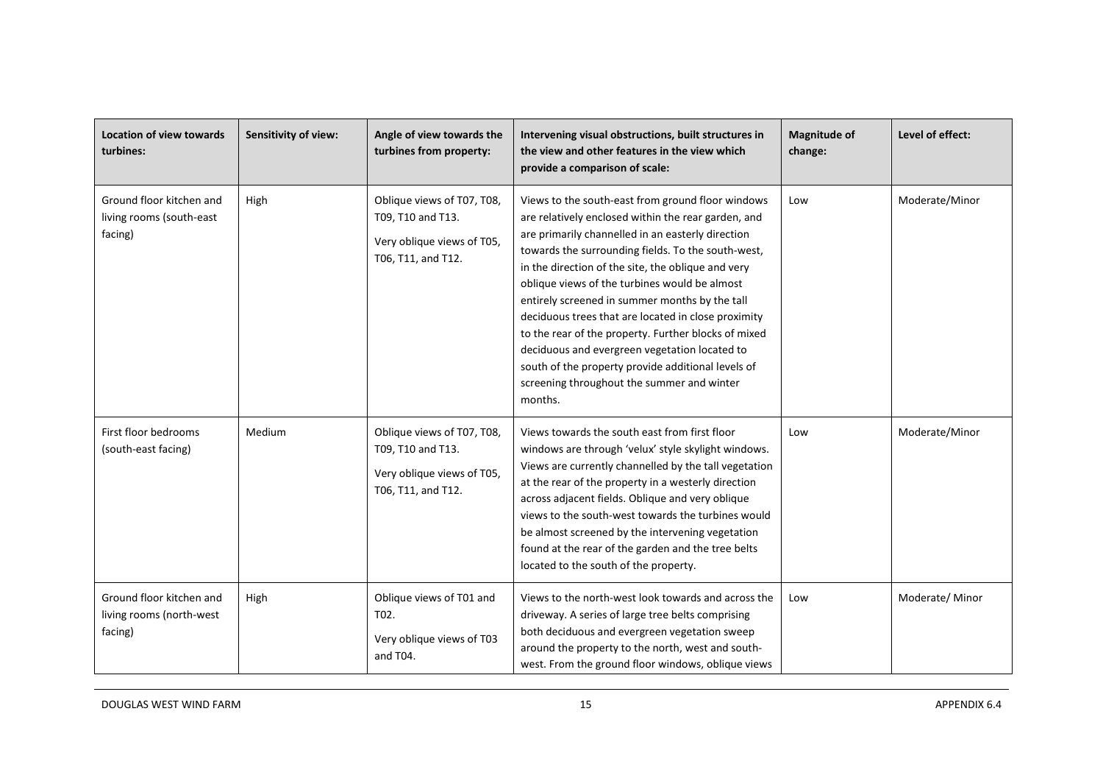| Location of view towards<br>turbines:                           | Sensitivity of view: | Angle of view towards the<br>turbines from property:                                                | Intervening visual obstructions, built structures in<br>the view and other features in the view which<br>provide a comparison of scale:                                                                                                                                                                                                                                                                                                                                                                                                                                                                                                                     | <b>Magnitude of</b><br>change: | Level of effect: |
|-----------------------------------------------------------------|----------------------|-----------------------------------------------------------------------------------------------------|-------------------------------------------------------------------------------------------------------------------------------------------------------------------------------------------------------------------------------------------------------------------------------------------------------------------------------------------------------------------------------------------------------------------------------------------------------------------------------------------------------------------------------------------------------------------------------------------------------------------------------------------------------------|--------------------------------|------------------|
| Ground floor kitchen and<br>living rooms (south-east<br>facing) | High                 | Oblique views of T07, T08,<br>T09, T10 and T13.<br>Very oblique views of T05,<br>T06, T11, and T12. | Views to the south-east from ground floor windows<br>are relatively enclosed within the rear garden, and<br>are primarily channelled in an easterly direction<br>towards the surrounding fields. To the south-west,<br>in the direction of the site, the oblique and very<br>oblique views of the turbines would be almost<br>entirely screened in summer months by the tall<br>deciduous trees that are located in close proximity<br>to the rear of the property. Further blocks of mixed<br>deciduous and evergreen vegetation located to<br>south of the property provide additional levels of<br>screening throughout the summer and winter<br>months. | Low                            | Moderate/Minor   |
| First floor bedrooms<br>(south-east facing)                     | Medium               | Oblique views of T07, T08,<br>T09, T10 and T13.<br>Very oblique views of T05,<br>T06, T11, and T12. | Views towards the south east from first floor<br>windows are through 'velux' style skylight windows.<br>Views are currently channelled by the tall vegetation<br>at the rear of the property in a westerly direction<br>across adjacent fields. Oblique and very oblique<br>views to the south-west towards the turbines would<br>be almost screened by the intervening vegetation<br>found at the rear of the garden and the tree belts<br>located to the south of the property.                                                                                                                                                                           | Low                            | Moderate/Minor   |
| Ground floor kitchen and<br>living rooms (north-west<br>facing) | High                 | Oblique views of T01 and<br>T02.<br>Very oblique views of T03<br>and T04.                           | Views to the north-west look towards and across the<br>driveway. A series of large tree belts comprising<br>both deciduous and evergreen vegetation sweep<br>around the property to the north, west and south-<br>west. From the ground floor windows, oblique views                                                                                                                                                                                                                                                                                                                                                                                        | Low                            | Moderate/Minor   |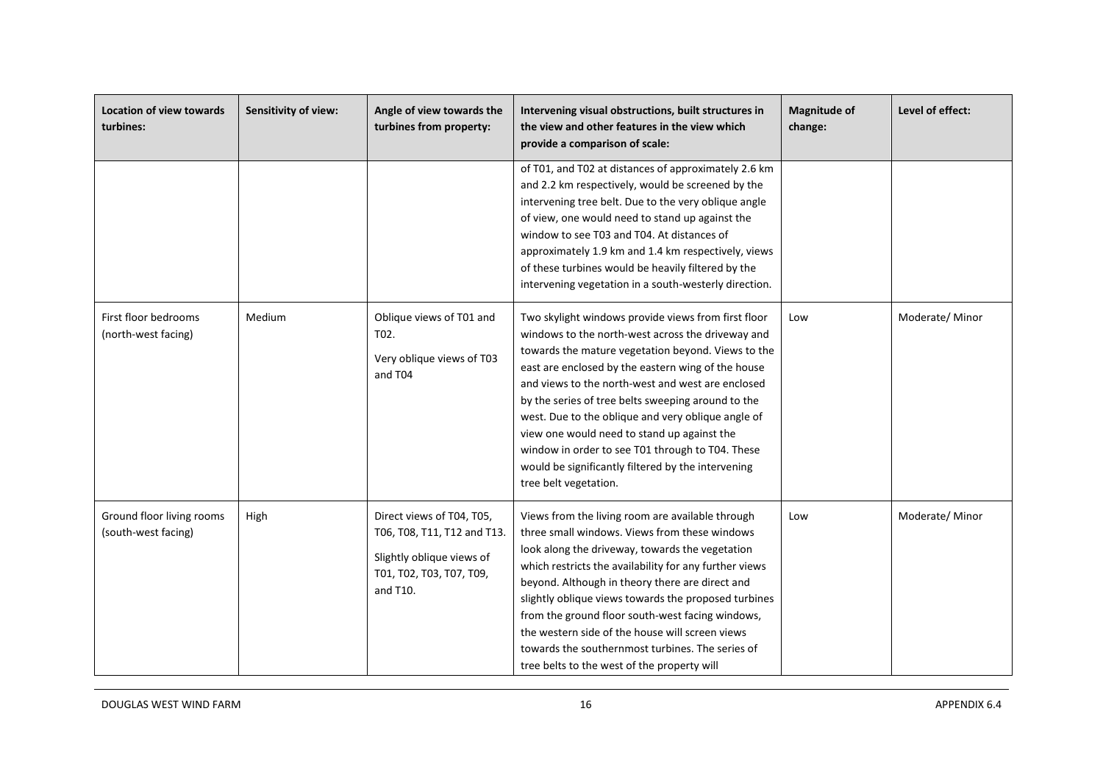| Location of view towards<br>turbines:            | Sensitivity of view: | Angle of view towards the<br>turbines from property:                                                                          | Intervening visual obstructions, built structures in<br>the view and other features in the view which<br>provide a comparison of scale:                                                                                                                                                                                                                                                                                                                                                                                                                                 | <b>Magnitude of</b><br>change: | Level of effect: |
|--------------------------------------------------|----------------------|-------------------------------------------------------------------------------------------------------------------------------|-------------------------------------------------------------------------------------------------------------------------------------------------------------------------------------------------------------------------------------------------------------------------------------------------------------------------------------------------------------------------------------------------------------------------------------------------------------------------------------------------------------------------------------------------------------------------|--------------------------------|------------------|
|                                                  |                      |                                                                                                                               | of T01, and T02 at distances of approximately 2.6 km<br>and 2.2 km respectively, would be screened by the<br>intervening tree belt. Due to the very oblique angle<br>of view, one would need to stand up against the<br>window to see T03 and T04. At distances of<br>approximately 1.9 km and 1.4 km respectively, views<br>of these turbines would be heavily filtered by the<br>intervening vegetation in a south-westerly direction.                                                                                                                                |                                |                  |
| First floor bedrooms<br>(north-west facing)      | Medium               | Oblique views of T01 and<br>T02.<br>Very oblique views of T03<br>and T04                                                      | Two skylight windows provide views from first floor<br>windows to the north-west across the driveway and<br>towards the mature vegetation beyond. Views to the<br>east are enclosed by the eastern wing of the house<br>and views to the north-west and west are enclosed<br>by the series of tree belts sweeping around to the<br>west. Due to the oblique and very oblique angle of<br>view one would need to stand up against the<br>window in order to see T01 through to T04. These<br>would be significantly filtered by the intervening<br>tree belt vegetation. | Low                            | Moderate/Minor   |
| Ground floor living rooms<br>(south-west facing) | High                 | Direct views of T04, T05,<br>T06, T08, T11, T12 and T13.<br>Slightly oblique views of<br>Т01, Т02, Т03, Т07, Т09,<br>and T10. | Views from the living room are available through<br>three small windows. Views from these windows<br>look along the driveway, towards the vegetation<br>which restricts the availability for any further views<br>beyond. Although in theory there are direct and<br>slightly oblique views towards the proposed turbines<br>from the ground floor south-west facing windows,<br>the western side of the house will screen views<br>towards the southernmost turbines. The series of<br>tree belts to the west of the property will                                     | Low                            | Moderate/ Minor  |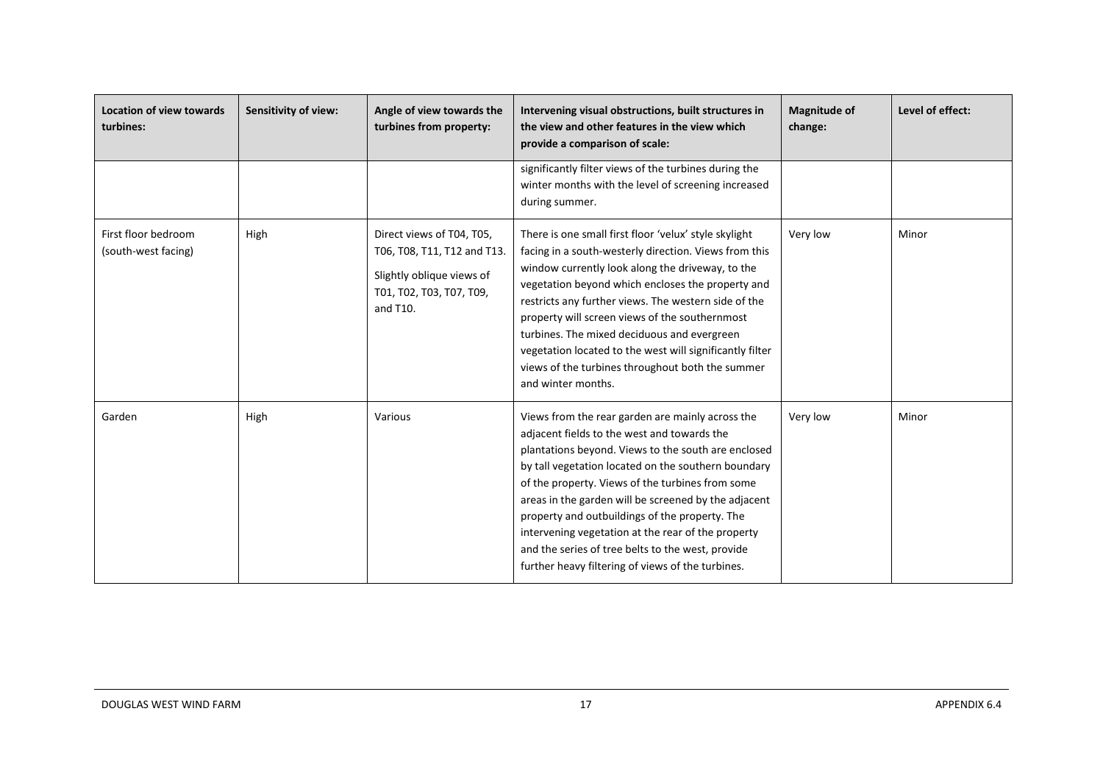| <b>Location of view towards</b><br>turbines: | <b>Sensitivity of view:</b> | Angle of view towards the<br>turbines from property:                                                                          | Intervening visual obstructions, built structures in<br>the view and other features in the view which<br>provide a comparison of scale:                                                                                                                                                                                                                                                                                                                                                                                                     | <b>Magnitude of</b><br>change: | Level of effect: |
|----------------------------------------------|-----------------------------|-------------------------------------------------------------------------------------------------------------------------------|---------------------------------------------------------------------------------------------------------------------------------------------------------------------------------------------------------------------------------------------------------------------------------------------------------------------------------------------------------------------------------------------------------------------------------------------------------------------------------------------------------------------------------------------|--------------------------------|------------------|
|                                              |                             |                                                                                                                               | significantly filter views of the turbines during the<br>winter months with the level of screening increased<br>during summer.                                                                                                                                                                                                                                                                                                                                                                                                              |                                |                  |
| First floor bedroom<br>(south-west facing)   | High                        | Direct views of T04, T05,<br>T06, T08, T11, T12 and T13.<br>Slightly oblique views of<br>T01, T02, T03, T07, T09,<br>and T10. | There is one small first floor 'velux' style skylight<br>facing in a south-westerly direction. Views from this<br>window currently look along the driveway, to the<br>vegetation beyond which encloses the property and<br>restricts any further views. The western side of the<br>property will screen views of the southernmost<br>turbines. The mixed deciduous and evergreen<br>vegetation located to the west will significantly filter<br>views of the turbines throughout both the summer<br>and winter months.                      | Very low                       | Minor            |
| Garden                                       | High                        | Various                                                                                                                       | Views from the rear garden are mainly across the<br>adjacent fields to the west and towards the<br>plantations beyond. Views to the south are enclosed<br>by tall vegetation located on the southern boundary<br>of the property. Views of the turbines from some<br>areas in the garden will be screened by the adjacent<br>property and outbuildings of the property. The<br>intervening vegetation at the rear of the property<br>and the series of tree belts to the west, provide<br>further heavy filtering of views of the turbines. | Very low                       | Minor            |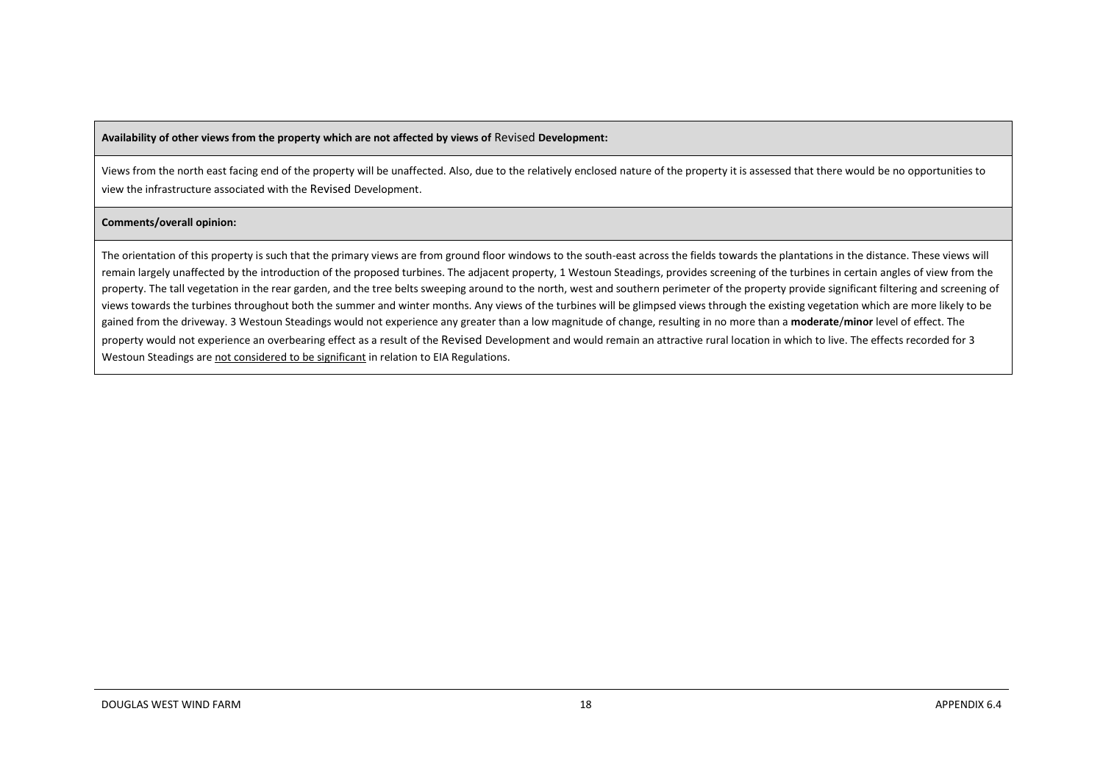Views from the north east facing end of the property will be unaffected. Also, due to the relatively enclosed nature of the property it is assessed that there would be no opportunities to view the infrastructure associated with the Revised Development.

#### **Comments/overall opinion:**

The orientation of this property is such that the primary views are from ground floor windows to the south-east across the fields towards the plantations in the distance. These views will remain largely unaffected by the introduction of the proposed turbines. The adjacent property, 1 Westoun Steadings, provides screening of the turbines in certain angles of view from the property. The tall vegetation in the rear garden, and the tree belts sweeping around to the north, west and southern perimeter of the property provide significant filtering and screening of views towards the turbines throughout both the summer and winter months. Any views of the turbines will be glimpsed views through the existing vegetation which are more likely to be gained from the driveway. 3 Westoun Steadings would not experience any greater than a low magnitude of change, resulting in no more than a **moderate**/**minor** level of effect. The property would not experience an overbearing effect as a result of the Revised Development and would remain an attractive rural location in which to live. The effects recorded for 3 Westoun Steadings are not considered to be significant in relation to EIA Regulations.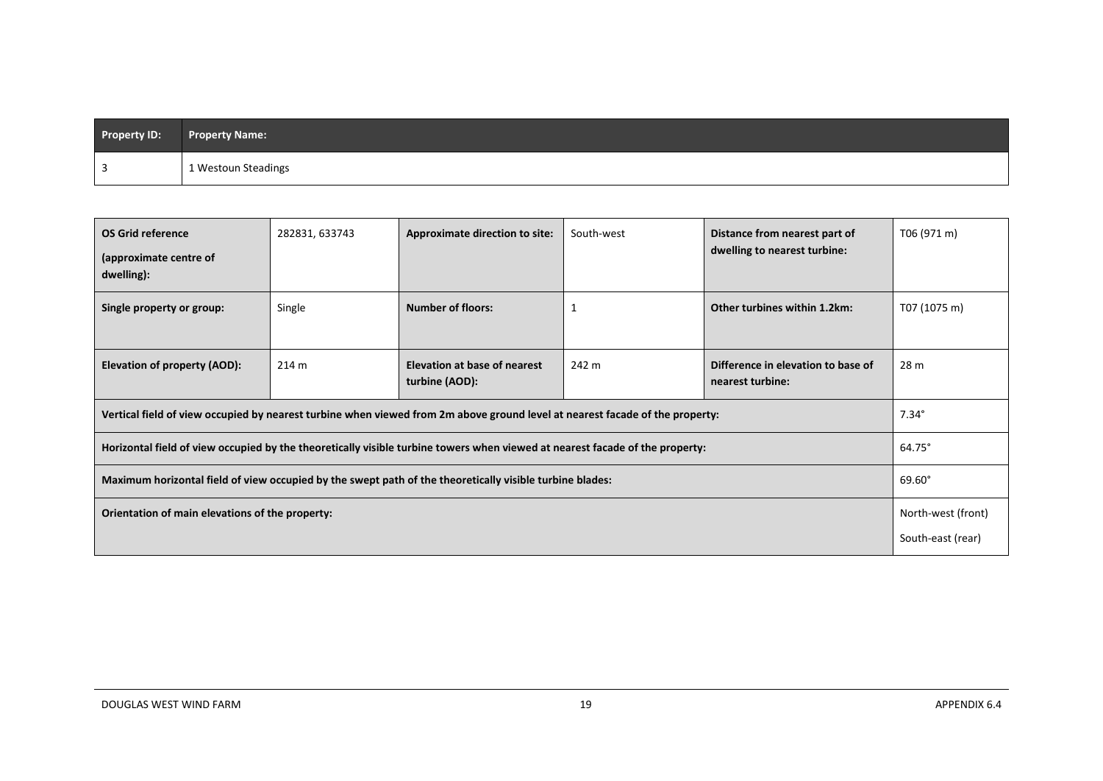| <b>Property ID:</b> | <b>Property Name:</b> |
|---------------------|-----------------------|
| -3                  | 1 Westoun Steadings   |

| <b>OS Grid reference</b><br>(approximate centre of<br>dwelling):                                                             | 282831, 633743 | <b>Approximate direction to site:</b>          | South-west | Distance from nearest part of<br>dwelling to nearest turbine: | T06 (971 m)     |
|------------------------------------------------------------------------------------------------------------------------------|----------------|------------------------------------------------|------------|---------------------------------------------------------------|-----------------|
| Single property or group:                                                                                                    | Single         | <b>Number of floors:</b>                       | -1         | Other turbines within 1.2km:                                  | T07 (1075 m)    |
| Elevation of property (AOD):                                                                                                 | 214 m          | Elevation at base of nearest<br>turbine (AOD): | 242 m      | Difference in elevation to base of<br>nearest turbine:        | 28 <sub>m</sub> |
| Vertical field of view occupied by nearest turbine when viewed from 2m above ground level at nearest facade of the property: |                |                                                |            |                                                               | $7.34^\circ$    |
| Horizontal field of view occupied by the theoretically visible turbine towers when viewed at nearest facade of the property: |                |                                                |            |                                                               | $64.75^\circ$   |
| Maximum horizontal field of view occupied by the swept path of the theoretically visible turbine blades:                     |                |                                                |            |                                                               |                 |
| Orientation of main elevations of the property:                                                                              |                |                                                |            |                                                               |                 |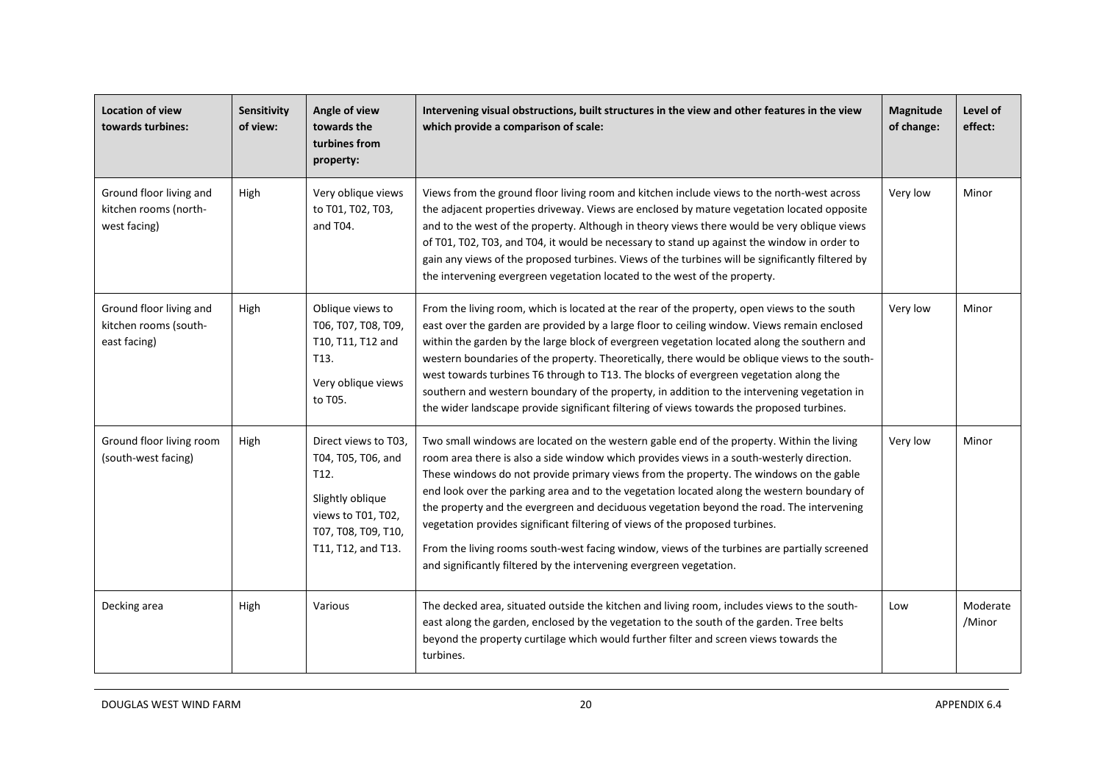| Location of view<br>towards turbines:                            | Sensitivity<br>of view: | Angle of view<br>towards the<br>turbines from<br>property:                                                                                | Intervening visual obstructions, built structures in the view and other features in the view<br>which provide a comparison of scale:                                                                                                                                                                                                                                                                                                                                                                                                                                                                                                                                                                                              | Magnitude<br>of change: | Level of<br>effect: |
|------------------------------------------------------------------|-------------------------|-------------------------------------------------------------------------------------------------------------------------------------------|-----------------------------------------------------------------------------------------------------------------------------------------------------------------------------------------------------------------------------------------------------------------------------------------------------------------------------------------------------------------------------------------------------------------------------------------------------------------------------------------------------------------------------------------------------------------------------------------------------------------------------------------------------------------------------------------------------------------------------------|-------------------------|---------------------|
| Ground floor living and<br>kitchen rooms (north-<br>west facing) | High                    | Very oblique views<br>to T01, T02, T03,<br>and T04.                                                                                       | Views from the ground floor living room and kitchen include views to the north-west across<br>the adjacent properties driveway. Views are enclosed by mature vegetation located opposite<br>and to the west of the property. Although in theory views there would be very oblique views<br>of T01, T02, T03, and T04, it would be necessary to stand up against the window in order to<br>gain any views of the proposed turbines. Views of the turbines will be significantly filtered by<br>the intervening evergreen vegetation located to the west of the property.                                                                                                                                                           | Very low                | Minor               |
| Ground floor living and<br>kitchen rooms (south-<br>east facing) | High                    | Oblique views to<br>T06, T07, T08, T09,<br>T10, T11, T12 and<br>T13.<br>Very oblique views<br>to T05.                                     | From the living room, which is located at the rear of the property, open views to the south<br>east over the garden are provided by a large floor to ceiling window. Views remain enclosed<br>within the garden by the large block of evergreen vegetation located along the southern and<br>western boundaries of the property. Theoretically, there would be oblique views to the south-<br>west towards turbines T6 through to T13. The blocks of evergreen vegetation along the<br>southern and western boundary of the property, in addition to the intervening vegetation in<br>the wider landscape provide significant filtering of views towards the proposed turbines.                                                   | Very low                | Minor               |
| Ground floor living room<br>(south-west facing)                  | High                    | Direct views to T03,<br>T04, T05, T06, and<br>T12.<br>Slightly oblique<br>views to T01, T02,<br>T07, T08, T09, T10,<br>T11, T12, and T13. | Two small windows are located on the western gable end of the property. Within the living<br>room area there is also a side window which provides views in a south-westerly direction.<br>These windows do not provide primary views from the property. The windows on the gable<br>end look over the parking area and to the vegetation located along the western boundary of<br>the property and the evergreen and deciduous vegetation beyond the road. The intervening<br>vegetation provides significant filtering of views of the proposed turbines.<br>From the living rooms south-west facing window, views of the turbines are partially screened<br>and significantly filtered by the intervening evergreen vegetation. | Very low                | Minor               |
| Decking area                                                     | High                    | Various                                                                                                                                   | The decked area, situated outside the kitchen and living room, includes views to the south-<br>east along the garden, enclosed by the vegetation to the south of the garden. Tree belts<br>beyond the property curtilage which would further filter and screen views towards the<br>turbines.                                                                                                                                                                                                                                                                                                                                                                                                                                     | Low                     | Moderate<br>/Minor  |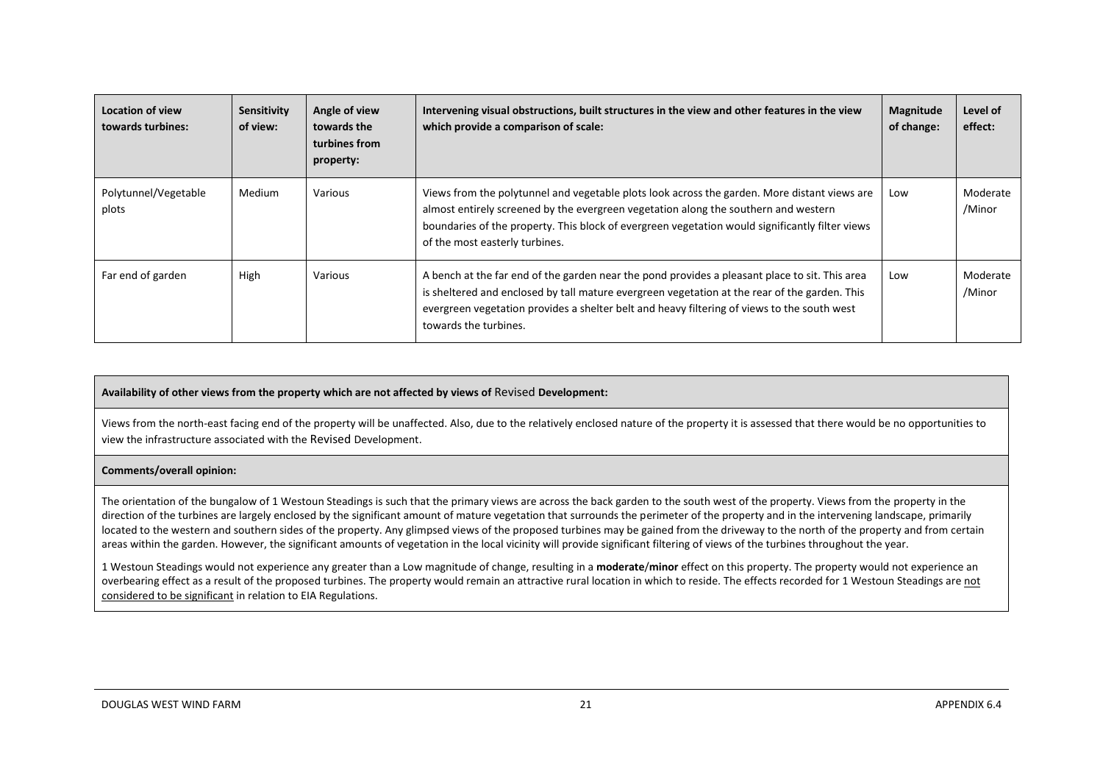| <b>Location of view</b><br>towards turbines: | Sensitivity<br>of view: | Angle of view<br>towards the<br>turbines from<br>property: | Intervening visual obstructions, built structures in the view and other features in the view<br>which provide a comparison of scale:                                                                                                                                                                                     | Magnitude<br>of change: | Level of<br>effect: |
|----------------------------------------------|-------------------------|------------------------------------------------------------|--------------------------------------------------------------------------------------------------------------------------------------------------------------------------------------------------------------------------------------------------------------------------------------------------------------------------|-------------------------|---------------------|
| Polytunnel/Vegetable<br>plots                | Medium                  | Various                                                    | Views from the polytunnel and vegetable plots look across the garden. More distant views are<br>almost entirely screened by the evergreen vegetation along the southern and western<br>boundaries of the property. This block of evergreen vegetation would significantly filter views<br>of the most easterly turbines. | Low                     | Moderate<br>/Minor  |
| Far end of garden                            | High                    | Various                                                    | A bench at the far end of the garden near the pond provides a pleasant place to sit. This area<br>is sheltered and enclosed by tall mature evergreen vegetation at the rear of the garden. This<br>evergreen vegetation provides a shelter belt and heavy filtering of views to the south west<br>towards the turbines.  | Low                     | Moderate<br>/Minor  |

Views from the north-east facing end of the property will be unaffected. Also, due to the relatively enclosed nature of the property it is assessed that there would be no opportunities to view the infrastructure associated with the Revised Development.

#### **Comments/overall opinion:**

The orientation of the bungalow of 1 Westoun Steadings is such that the primary views are across the back garden to the south west of the property. Views from the property in the direction of the turbines are largely enclosed by the significant amount of mature vegetation that surrounds the perimeter of the property and in the intervening landscape, primarily located to the western and southern sides of the property. Any glimpsed views of the proposed turbines may be gained from the driveway to the north of the property and from certain areas within the garden. However, the significant amounts of vegetation in the local vicinity will provide significant filtering of views of the turbines throughout the year.

1 Westoun Steadings would not experience any greater than a Low magnitude of change, resulting in a **moderate**/**minor** effect on this property. The property would not experience an overbearing effect as a result of the proposed turbines. The property would remain an attractive rural location in which to reside. The effects recorded for 1 Westoun Steadings are not considered to be significant in relation to EIA Regulations.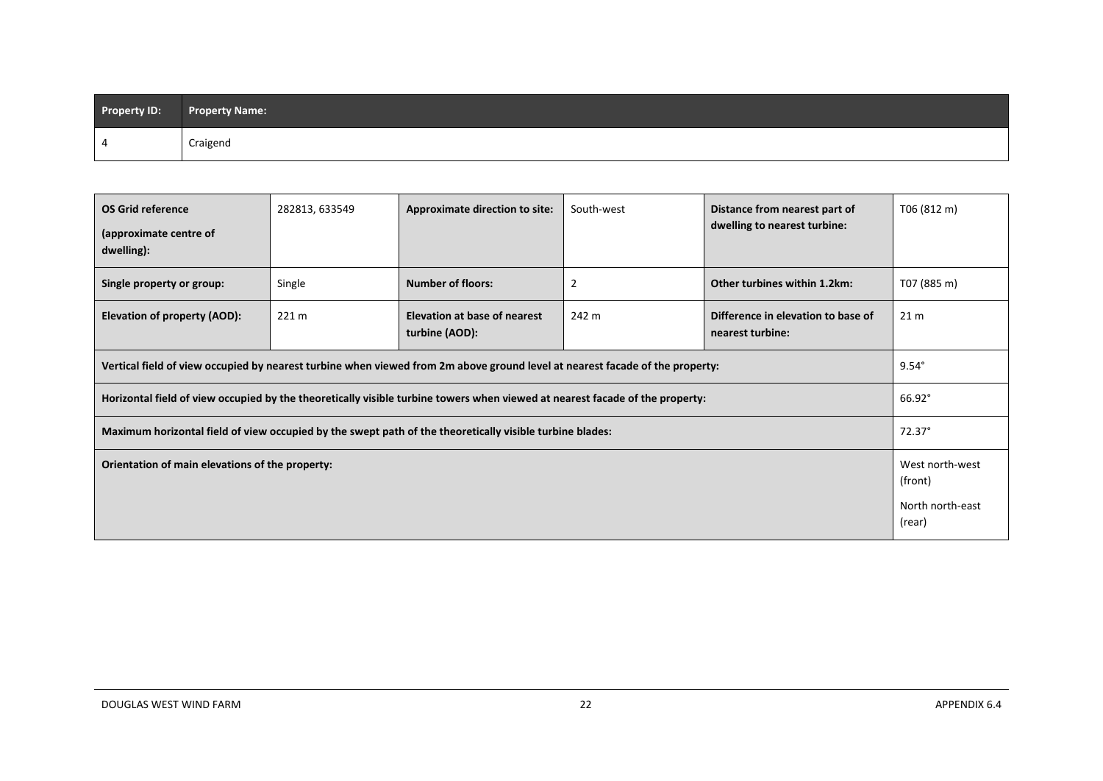| <b>Property ID:</b> | Property Name: |
|---------------------|----------------|
| 4                   | Craigend       |

| <b>OS Grid reference</b><br>(approximate centre of<br>dwelling):                                                             | 282813, 633549 | Approximate direction to site:                        | South-west | Distance from nearest part of<br>dwelling to nearest turbine: | T06 (812 m)     |  |
|------------------------------------------------------------------------------------------------------------------------------|----------------|-------------------------------------------------------|------------|---------------------------------------------------------------|-----------------|--|
| Single property or group:                                                                                                    | Single         | <b>Number of floors:</b>                              |            | Other turbines within 1.2km:                                  | T07 (885 m)     |  |
| <b>Elevation of property (AOD):</b>                                                                                          | 221 m          | <b>Elevation at base of nearest</b><br>turbine (AOD): | 242 m      | Difference in elevation to base of<br>nearest turbine:        | 21 <sub>m</sub> |  |
| Vertical field of view occupied by nearest turbine when viewed from 2m above ground level at nearest facade of the property: |                |                                                       |            |                                                               | $9.54^\circ$    |  |
| Horizontal field of view occupied by the theoretically visible turbine towers when viewed at nearest facade of the property: |                |                                                       |            |                                                               | 66.92°          |  |
| Maximum horizontal field of view occupied by the swept path of the theoretically visible turbine blades:                     |                |                                                       |            |                                                               |                 |  |
| Orientation of main elevations of the property:                                                                              |                |                                                       |            |                                                               |                 |  |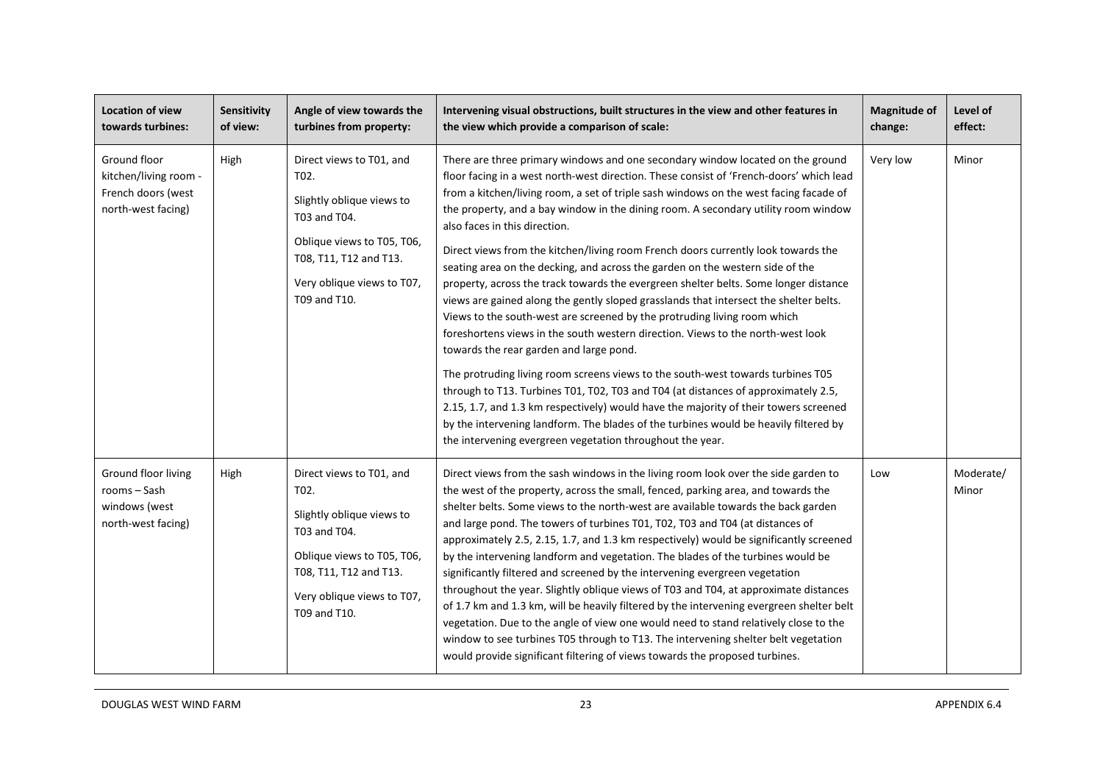| <b>Location of view</b><br>towards turbines:                                      | Sensitivity<br>of view: | Angle of view towards the<br>turbines from property:                                                                                                                                | Intervening visual obstructions, built structures in the view and other features in<br>the view which provide a comparison of scale:                                                                                                                                                                                                                                                                                                                                                                                                                                                                                                                                                                                                                                                                                                                                                                                                                                                                                                                                                                                                                                                                                                                                                                                                                                             | <b>Magnitude of</b><br>change: | Level of<br>effect: |
|-----------------------------------------------------------------------------------|-------------------------|-------------------------------------------------------------------------------------------------------------------------------------------------------------------------------------|----------------------------------------------------------------------------------------------------------------------------------------------------------------------------------------------------------------------------------------------------------------------------------------------------------------------------------------------------------------------------------------------------------------------------------------------------------------------------------------------------------------------------------------------------------------------------------------------------------------------------------------------------------------------------------------------------------------------------------------------------------------------------------------------------------------------------------------------------------------------------------------------------------------------------------------------------------------------------------------------------------------------------------------------------------------------------------------------------------------------------------------------------------------------------------------------------------------------------------------------------------------------------------------------------------------------------------------------------------------------------------|--------------------------------|---------------------|
| Ground floor<br>kitchen/living room -<br>French doors (west<br>north-west facing) | High                    | Direct views to T01, and<br>T02.<br>Slightly oblique views to<br>T03 and T04.<br>Oblique views to T05, T06,<br>T08, T11, T12 and T13.<br>Very oblique views to T07,<br>T09 and T10. | There are three primary windows and one secondary window located on the ground<br>floor facing in a west north-west direction. These consist of 'French-doors' which lead<br>from a kitchen/living room, a set of triple sash windows on the west facing facade of<br>the property, and a bay window in the dining room. A secondary utility room window<br>also faces in this direction.<br>Direct views from the kitchen/living room French doors currently look towards the<br>seating area on the decking, and across the garden on the western side of the<br>property, across the track towards the evergreen shelter belts. Some longer distance<br>views are gained along the gently sloped grasslands that intersect the shelter belts.<br>Views to the south-west are screened by the protruding living room which<br>foreshortens views in the south western direction. Views to the north-west look<br>towards the rear garden and large pond.<br>The protruding living room screens views to the south-west towards turbines T05<br>through to T13. Turbines T01, T02, T03 and T04 (at distances of approximately 2.5,<br>2.15, 1.7, and 1.3 km respectively) would have the majority of their towers screened<br>by the intervening landform. The blades of the turbines would be heavily filtered by<br>the intervening evergreen vegetation throughout the year. | Very low                       | Minor               |
| Ground floor living<br>rooms - Sash<br>windows (west<br>north-west facing)        | High                    | Direct views to T01, and<br>T02.<br>Slightly oblique views to<br>T03 and T04.<br>Oblique views to T05, T06,<br>T08, T11, T12 and T13.<br>Very oblique views to T07,<br>T09 and T10. | Direct views from the sash windows in the living room look over the side garden to<br>the west of the property, across the small, fenced, parking area, and towards the<br>shelter belts. Some views to the north-west are available towards the back garden<br>and large pond. The towers of turbines T01, T02, T03 and T04 (at distances of<br>approximately 2.5, 2.15, 1.7, and 1.3 km respectively) would be significantly screened<br>by the intervening landform and vegetation. The blades of the turbines would be<br>significantly filtered and screened by the intervening evergreen vegetation<br>throughout the year. Slightly oblique views of T03 and T04, at approximate distances<br>of 1.7 km and 1.3 km, will be heavily filtered by the intervening evergreen shelter belt<br>vegetation. Due to the angle of view one would need to stand relatively close to the<br>window to see turbines T05 through to T13. The intervening shelter belt vegetation<br>would provide significant filtering of views towards the proposed turbines.                                                                                                                                                                                                                                                                                                                       | Low                            | Moderate/<br>Minor  |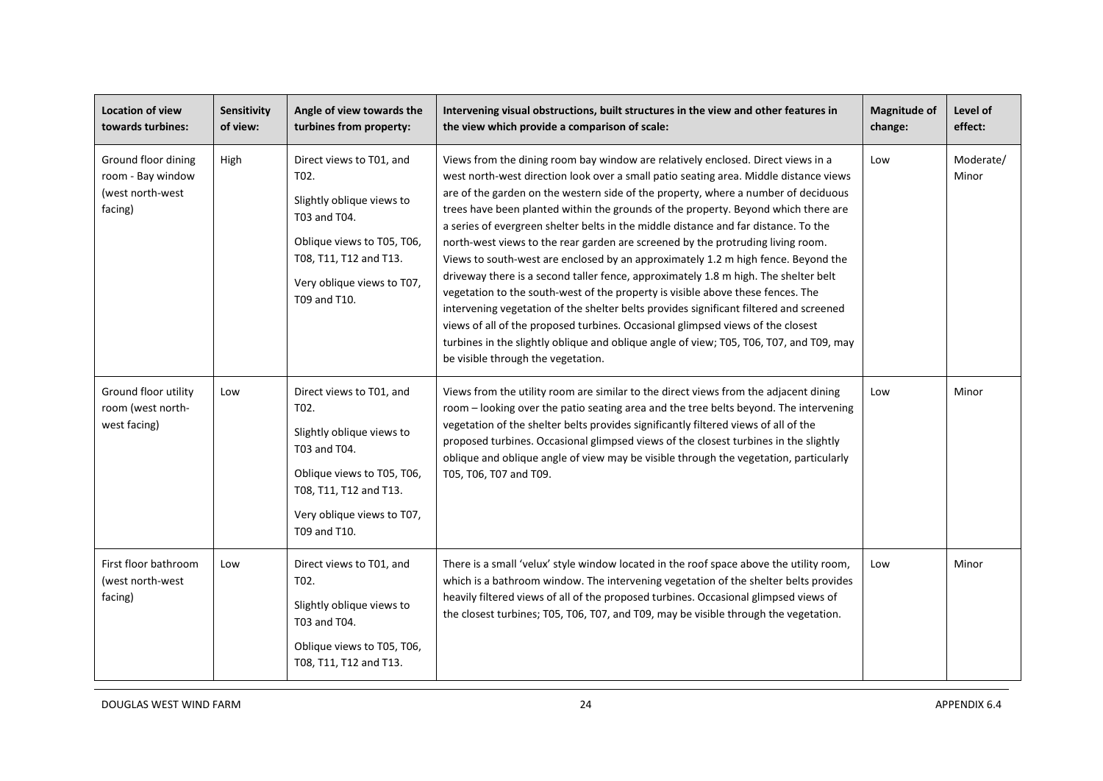| <b>Location of view</b><br>towards turbines:                            | Sensitivity<br>of view: | Angle of view towards the<br>turbines from property:                                                                                                                                | Intervening visual obstructions, built structures in the view and other features in<br>the view which provide a comparison of scale:                                                                                                                                                                                                                                                                                                                                                                                                                                                                                                                                                                                                                                                                                                                                                                                                                                                                                                                                                                         | <b>Magnitude of</b><br>change: | Level of<br>effect: |
|-------------------------------------------------------------------------|-------------------------|-------------------------------------------------------------------------------------------------------------------------------------------------------------------------------------|--------------------------------------------------------------------------------------------------------------------------------------------------------------------------------------------------------------------------------------------------------------------------------------------------------------------------------------------------------------------------------------------------------------------------------------------------------------------------------------------------------------------------------------------------------------------------------------------------------------------------------------------------------------------------------------------------------------------------------------------------------------------------------------------------------------------------------------------------------------------------------------------------------------------------------------------------------------------------------------------------------------------------------------------------------------------------------------------------------------|--------------------------------|---------------------|
| Ground floor dining<br>room - Bay window<br>(west north-west<br>facing) | High                    | Direct views to T01, and<br>T02.<br>Slightly oblique views to<br>T03 and T04.<br>Oblique views to T05, T06,<br>T08, T11, T12 and T13.<br>Very oblique views to T07,<br>T09 and T10. | Views from the dining room bay window are relatively enclosed. Direct views in a<br>west north-west direction look over a small patio seating area. Middle distance views<br>are of the garden on the western side of the property, where a number of deciduous<br>trees have been planted within the grounds of the property. Beyond which there are<br>a series of evergreen shelter belts in the middle distance and far distance. To the<br>north-west views to the rear garden are screened by the protruding living room.<br>Views to south-west are enclosed by an approximately 1.2 m high fence. Beyond the<br>driveway there is a second taller fence, approximately 1.8 m high. The shelter belt<br>vegetation to the south-west of the property is visible above these fences. The<br>intervening vegetation of the shelter belts provides significant filtered and screened<br>views of all of the proposed turbines. Occasional glimpsed views of the closest<br>turbines in the slightly oblique and oblique angle of view; T05, T06, T07, and T09, may<br>be visible through the vegetation. | Low                            | Moderate/<br>Minor  |
| Ground floor utility<br>room (west north-<br>west facing)               | Low                     | Direct views to T01, and<br>T02.<br>Slightly oblique views to<br>T03 and T04.<br>Oblique views to T05, T06,<br>T08, T11, T12 and T13.<br>Very oblique views to T07,<br>T09 and T10. | Views from the utility room are similar to the direct views from the adjacent dining<br>room - looking over the patio seating area and the tree belts beyond. The intervening<br>vegetation of the shelter belts provides significantly filtered views of all of the<br>proposed turbines. Occasional glimpsed views of the closest turbines in the slightly<br>oblique and oblique angle of view may be visible through the vegetation, particularly<br>T05, T06, T07 and T09.                                                                                                                                                                                                                                                                                                                                                                                                                                                                                                                                                                                                                              | Low                            | Minor               |
| First floor bathroom<br>(west north-west<br>facing)                     | Low                     | Direct views to T01, and<br>T02.<br>Slightly oblique views to<br>T03 and T04.<br>Oblique views to T05, T06,<br>T08, T11, T12 and T13.                                               | There is a small 'velux' style window located in the roof space above the utility room,<br>which is a bathroom window. The intervening vegetation of the shelter belts provides<br>heavily filtered views of all of the proposed turbines. Occasional glimpsed views of<br>the closest turbines; T05, T06, T07, and T09, may be visible through the vegetation.                                                                                                                                                                                                                                                                                                                                                                                                                                                                                                                                                                                                                                                                                                                                              | Low                            | Minor               |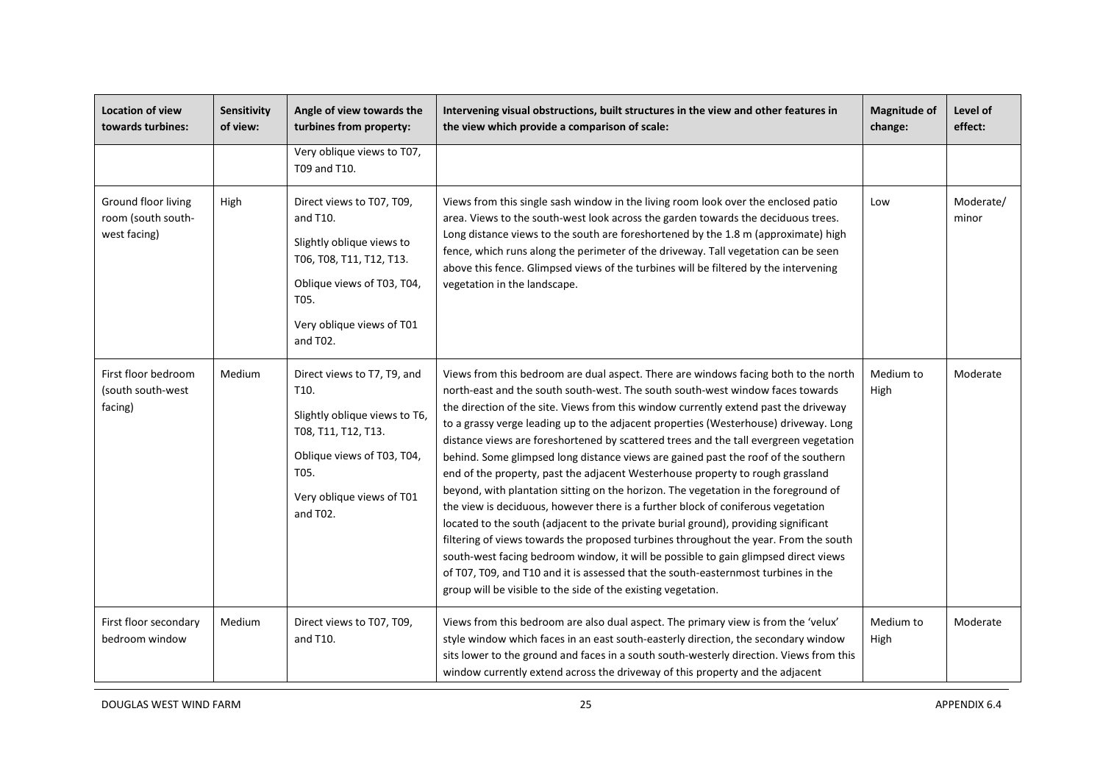| <b>Location of view</b><br>towards turbines:              | Sensitivity<br>of view: | Angle of view towards the<br>turbines from property:                                                                                                                             | Intervening visual obstructions, built structures in the view and other features in<br>the view which provide a comparison of scale:                                                                                                                                                                                                                                                                                                                                                                                                                                                                                                                                                                                                                                                                                                                                                                                                                                                                                                                                                                                                                                                                                           | <b>Magnitude of</b><br>change: | Level of<br>effect: |
|-----------------------------------------------------------|-------------------------|----------------------------------------------------------------------------------------------------------------------------------------------------------------------------------|--------------------------------------------------------------------------------------------------------------------------------------------------------------------------------------------------------------------------------------------------------------------------------------------------------------------------------------------------------------------------------------------------------------------------------------------------------------------------------------------------------------------------------------------------------------------------------------------------------------------------------------------------------------------------------------------------------------------------------------------------------------------------------------------------------------------------------------------------------------------------------------------------------------------------------------------------------------------------------------------------------------------------------------------------------------------------------------------------------------------------------------------------------------------------------------------------------------------------------|--------------------------------|---------------------|
|                                                           |                         | Very oblique views to T07,<br>T09 and T10.                                                                                                                                       |                                                                                                                                                                                                                                                                                                                                                                                                                                                                                                                                                                                                                                                                                                                                                                                                                                                                                                                                                                                                                                                                                                                                                                                                                                |                                |                     |
| Ground floor living<br>room (south south-<br>west facing) | High                    | Direct views to T07, T09,<br>and $T10$ .<br>Slightly oblique views to<br>T06, T08, T11, T12, T13.<br>Oblique views of T03, T04,<br>T05.<br>Very oblique views of T01<br>and T02. | Views from this single sash window in the living room look over the enclosed patio<br>area. Views to the south-west look across the garden towards the deciduous trees.<br>Long distance views to the south are foreshortened by the 1.8 m (approximate) high<br>fence, which runs along the perimeter of the driveway. Tall vegetation can be seen<br>above this fence. Glimpsed views of the turbines will be filtered by the intervening<br>vegetation in the landscape.                                                                                                                                                                                                                                                                                                                                                                                                                                                                                                                                                                                                                                                                                                                                                    | Low                            | Moderate/<br>minor  |
| First floor bedroom<br>(south south-west<br>facing)       | Medium                  | Direct views to T7, T9, and<br>T10.<br>Slightly oblique views to T6,<br>T08, T11, T12, T13.<br>Oblique views of T03, T04,<br>T05.<br>Very oblique views of T01<br>and T02.       | Views from this bedroom are dual aspect. There are windows facing both to the north<br>north-east and the south south-west. The south south-west window faces towards<br>the direction of the site. Views from this window currently extend past the driveway<br>to a grassy verge leading up to the adjacent properties (Westerhouse) driveway. Long<br>distance views are foreshortened by scattered trees and the tall evergreen vegetation<br>behind. Some glimpsed long distance views are gained past the roof of the southern<br>end of the property, past the adjacent Westerhouse property to rough grassland<br>beyond, with plantation sitting on the horizon. The vegetation in the foreground of<br>the view is deciduous, however there is a further block of coniferous vegetation<br>located to the south (adjacent to the private burial ground), providing significant<br>filtering of views towards the proposed turbines throughout the year. From the south<br>south-west facing bedroom window, it will be possible to gain glimpsed direct views<br>of T07, T09, and T10 and it is assessed that the south-easternmost turbines in the<br>group will be visible to the side of the existing vegetation. | Medium to<br>High              | Moderate            |
| First floor secondary<br>bedroom window                   | Medium                  | Direct views to T07, T09,<br>and T10.                                                                                                                                            | Views from this bedroom are also dual aspect. The primary view is from the 'velux'<br>style window which faces in an east south-easterly direction, the secondary window<br>sits lower to the ground and faces in a south south-westerly direction. Views from this<br>window currently extend across the driveway of this property and the adjacent                                                                                                                                                                                                                                                                                                                                                                                                                                                                                                                                                                                                                                                                                                                                                                                                                                                                           | Medium to<br>High              | Moderate            |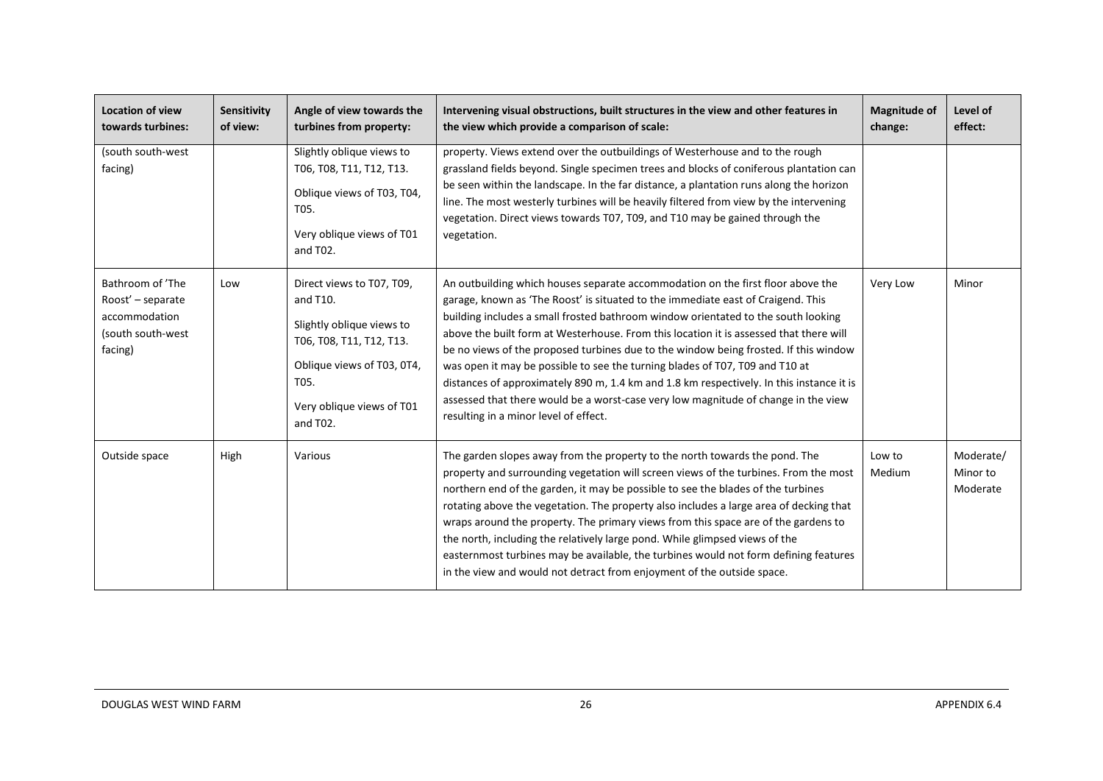| <b>Location of view</b><br>towards turbines:                                            | Sensitivity<br>of view: | Angle of view towards the<br>turbines from property:                                                                                                                          | Intervening visual obstructions, built structures in the view and other features in<br>the view which provide a comparison of scale:                                                                                                                                                                                                                                                                                                                                                                                                                                                                                                                                                                                                                  | <b>Magnitude of</b><br>change: | Level of<br>effect:               |
|-----------------------------------------------------------------------------------------|-------------------------|-------------------------------------------------------------------------------------------------------------------------------------------------------------------------------|-------------------------------------------------------------------------------------------------------------------------------------------------------------------------------------------------------------------------------------------------------------------------------------------------------------------------------------------------------------------------------------------------------------------------------------------------------------------------------------------------------------------------------------------------------------------------------------------------------------------------------------------------------------------------------------------------------------------------------------------------------|--------------------------------|-----------------------------------|
| (south south-west<br>facing)                                                            |                         | Slightly oblique views to<br>T06, T08, T11, T12, T13.<br>Oblique views of T03, T04,<br>T05.<br>Very oblique views of T01<br>and T <sub>02</sub> .                             | property. Views extend over the outbuildings of Westerhouse and to the rough<br>grassland fields beyond. Single specimen trees and blocks of coniferous plantation can<br>be seen within the landscape. In the far distance, a plantation runs along the horizon<br>line. The most westerly turbines will be heavily filtered from view by the intervening<br>vegetation. Direct views towards T07, T09, and T10 may be gained through the<br>vegetation.                                                                                                                                                                                                                                                                                             |                                |                                   |
| Bathroom of 'The<br>Roost' - separate<br>accommodation<br>(south south-west)<br>facing) | Low                     | Direct views to T07, T09,<br>and T10.<br>Slightly oblique views to<br>T06, T08, T11, T12, T13.<br>Oblique views of T03, 0T4,<br>T05.<br>Very oblique views of T01<br>and T02. | An outbuilding which houses separate accommodation on the first floor above the<br>garage, known as 'The Roost' is situated to the immediate east of Craigend. This<br>building includes a small frosted bathroom window orientated to the south looking<br>above the built form at Westerhouse. From this location it is assessed that there will<br>be no views of the proposed turbines due to the window being frosted. If this window<br>was open it may be possible to see the turning blades of T07, T09 and T10 at<br>distances of approximately 890 m, 1.4 km and 1.8 km respectively. In this instance it is<br>assessed that there would be a worst-case very low magnitude of change in the view<br>resulting in a minor level of effect. | Very Low                       | Minor                             |
| Outside space                                                                           | High                    | Various                                                                                                                                                                       | The garden slopes away from the property to the north towards the pond. The<br>property and surrounding vegetation will screen views of the turbines. From the most<br>northern end of the garden, it may be possible to see the blades of the turbines<br>rotating above the vegetation. The property also includes a large area of decking that<br>wraps around the property. The primary views from this space are of the gardens to<br>the north, including the relatively large pond. While glimpsed views of the<br>easternmost turbines may be available, the turbines would not form defining features<br>in the view and would not detract from enjoyment of the outside space.                                                              | Low to<br>Medium               | Moderate/<br>Minor to<br>Moderate |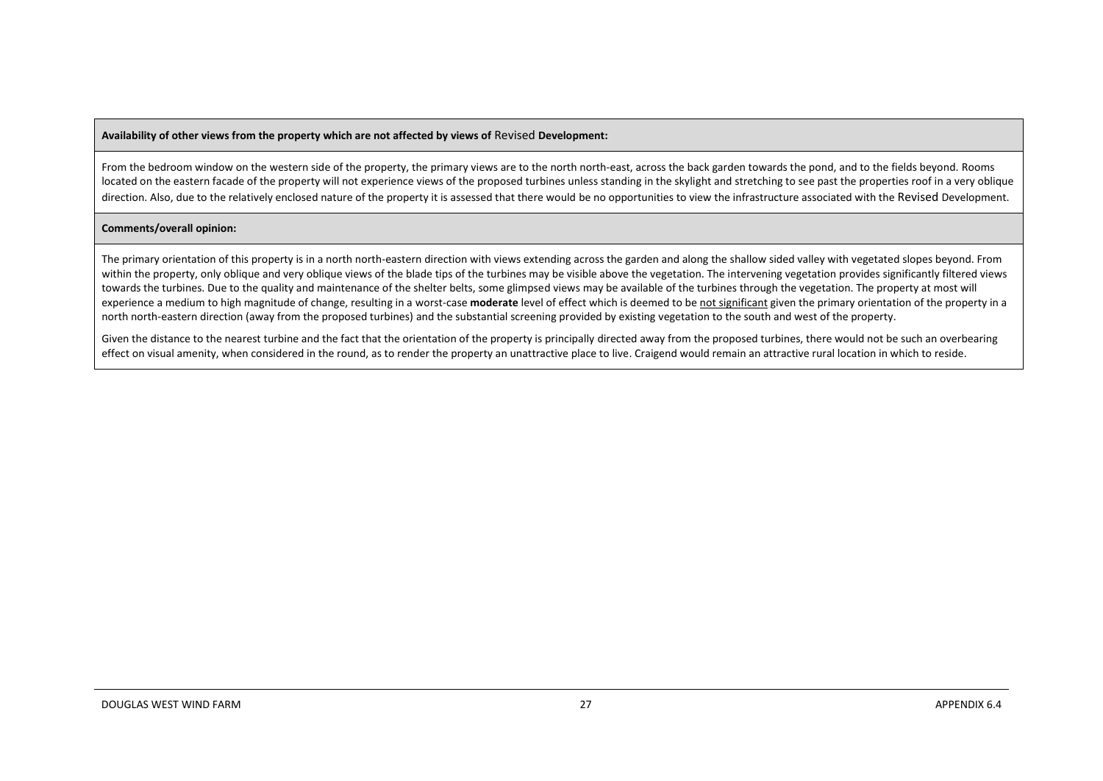From the bedroom window on the western side of the property, the primary views are to the north north-east, across the back garden towards the pond, and to the fields beyond. Rooms located on the eastern facade of the property will not experience views of the proposed turbines unless standing in the skylight and stretching to see past the properties roof in a very oblique direction. Also, due to the relatively enclosed nature of the property it is assessed that there would be no opportunities to view the infrastructure associated with the Revised Development.

#### **Comments/overall opinion:**

The primary orientation of this property is in a north north-eastern direction with views extending across the garden and along the shallow sided valley with vegetated slopes beyond. From within the property, only oblique and very oblique views of the blade tips of the turbines may be visible above the vegetation. The intervening vegetation provides significantly filtered views towards the turbines. Due to the quality and maintenance of the shelter belts, some glimpsed views may be available of the turbines through the vegetation. The property at most will experience a medium to high magnitude of change, resulting in a worst-case **moderate** level of effect which is deemed to be not significant given the primary orientation of the property in a north north-eastern direction (away from the proposed turbines) and the substantial screening provided by existing vegetation to the south and west of the property.

Given the distance to the nearest turbine and the fact that the orientation of the property is principally directed away from the proposed turbines, there would not be such an overbearing effect on visual amenity, when considered in the round, as to render the property an unattractive place to live. Craigend would remain an attractive rural location in which to reside.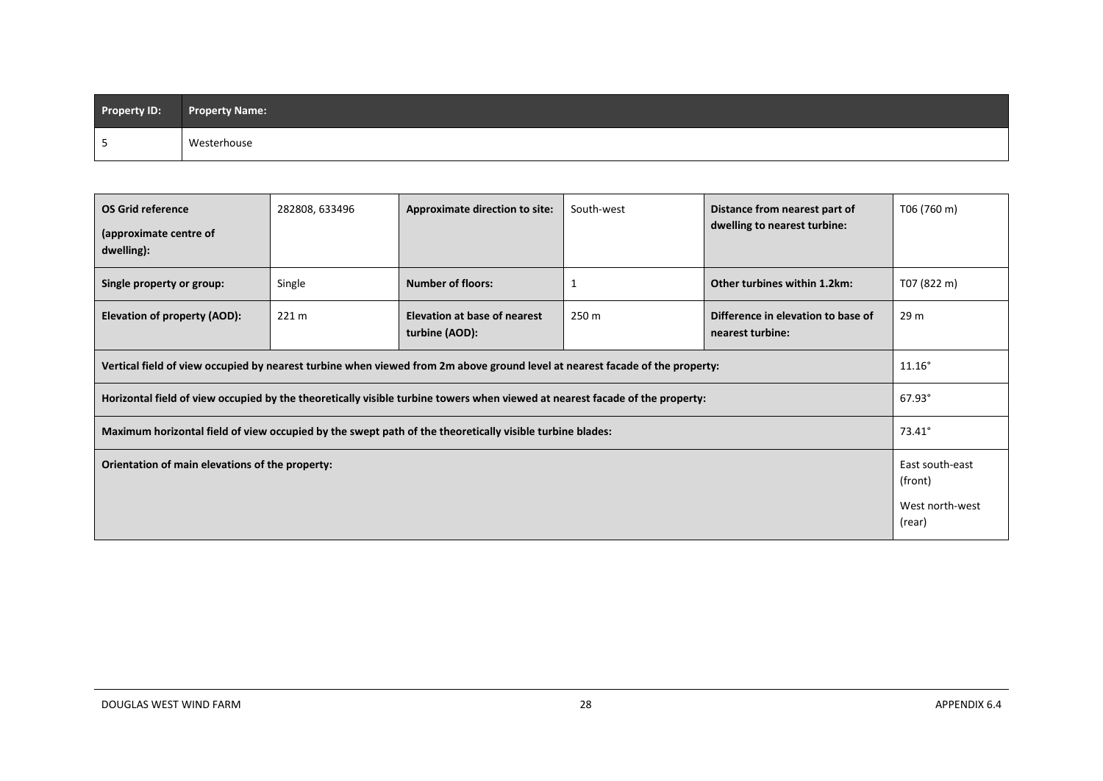| Property ID: | <b>Property Name:</b> |
|--------------|-----------------------|
| . Е.<br>◡    | Westerhouse           |

| <b>OS Grid reference</b><br>(approximate centre of<br>dwelling):                                                             | 282808, 633496 | <b>Approximate direction to site:</b>                 | South-west | Distance from nearest part of<br>dwelling to nearest turbine: | T06 (760 m)     |  |
|------------------------------------------------------------------------------------------------------------------------------|----------------|-------------------------------------------------------|------------|---------------------------------------------------------------|-----------------|--|
| Single property or group:                                                                                                    | Single         | <b>Number of floors:</b>                              |            | Other turbines within 1.2km:                                  | T07 (822 m)     |  |
| Elevation of property (AOD):                                                                                                 | 221 m          | <b>Elevation at base of nearest</b><br>turbine (AOD): | 250 m      | Difference in elevation to base of<br>nearest turbine:        | 29 m            |  |
| Vertical field of view occupied by nearest turbine when viewed from 2m above ground level at nearest facade of the property: |                |                                                       |            |                                                               |                 |  |
| Horizontal field of view occupied by the theoretically visible turbine towers when viewed at nearest facade of the property: |                |                                                       |            |                                                               | $67.93^{\circ}$ |  |
| Maximum horizontal field of view occupied by the swept path of the theoretically visible turbine blades:                     |                |                                                       |            |                                                               | $73.41^{\circ}$ |  |
| Orientation of main elevations of the property:                                                                              |                |                                                       |            |                                                               |                 |  |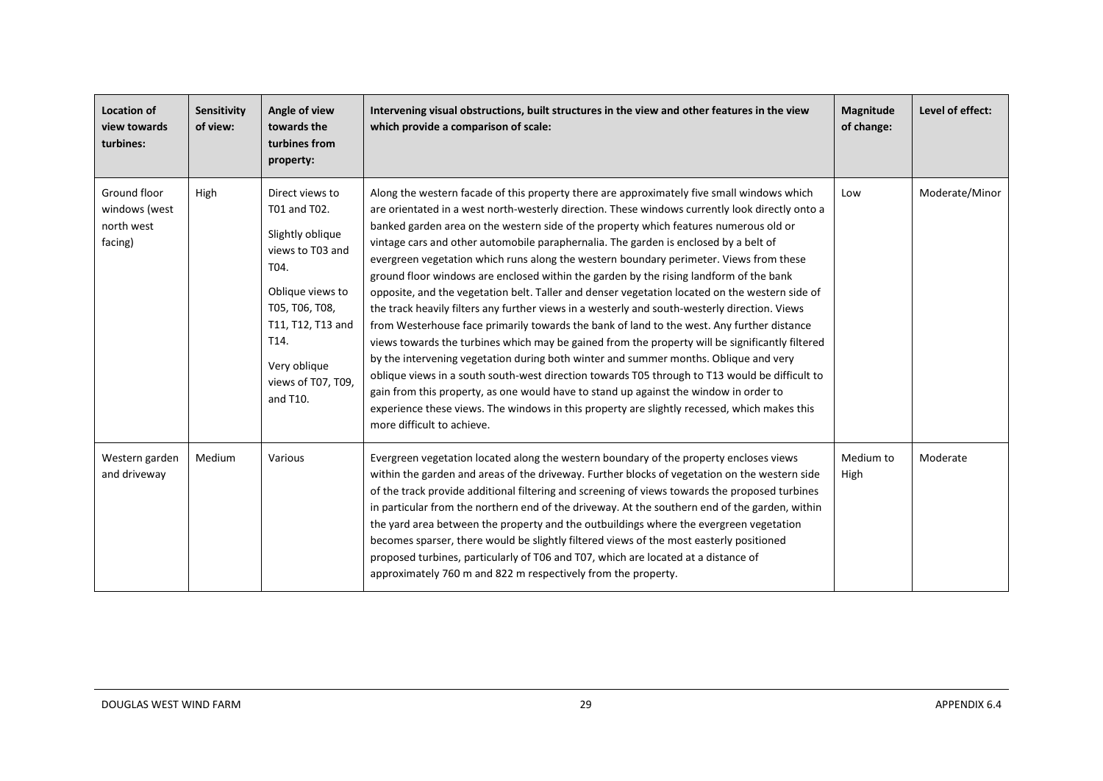| <b>Location of</b><br>view towards<br>turbines:        | Sensitivity<br>of view: | Angle of view<br>towards the<br>turbines from<br>property:                                                                                                                                           | Intervening visual obstructions, built structures in the view and other features in the view<br>which provide a comparison of scale:                                                                                                                                                                                                                                                                                                                                                                                                                                                                                                                                                                                                                                                                                                                                                                                                                                                                                                                                                                                                                                                                                                                                                                                                                                                    | Magnitude<br>of change: | Level of effect: |
|--------------------------------------------------------|-------------------------|------------------------------------------------------------------------------------------------------------------------------------------------------------------------------------------------------|-----------------------------------------------------------------------------------------------------------------------------------------------------------------------------------------------------------------------------------------------------------------------------------------------------------------------------------------------------------------------------------------------------------------------------------------------------------------------------------------------------------------------------------------------------------------------------------------------------------------------------------------------------------------------------------------------------------------------------------------------------------------------------------------------------------------------------------------------------------------------------------------------------------------------------------------------------------------------------------------------------------------------------------------------------------------------------------------------------------------------------------------------------------------------------------------------------------------------------------------------------------------------------------------------------------------------------------------------------------------------------------------|-------------------------|------------------|
| Ground floor<br>windows (west<br>north west<br>facing) | High                    | Direct views to<br>T01 and T02.<br>Slightly oblique<br>views to T03 and<br>T04.<br>Oblique views to<br>T05, T06, T08,<br>T11, T12, T13 and<br>T14.<br>Very oblique<br>views of T07, T09,<br>and T10. | Along the western facade of this property there are approximately five small windows which<br>are orientated in a west north-westerly direction. These windows currently look directly onto a<br>banked garden area on the western side of the property which features numerous old or<br>vintage cars and other automobile paraphernalia. The garden is enclosed by a belt of<br>evergreen vegetation which runs along the western boundary perimeter. Views from these<br>ground floor windows are enclosed within the garden by the rising landform of the bank<br>opposite, and the vegetation belt. Taller and denser vegetation located on the western side of<br>the track heavily filters any further views in a westerly and south-westerly direction. Views<br>from Westerhouse face primarily towards the bank of land to the west. Any further distance<br>views towards the turbines which may be gained from the property will be significantly filtered<br>by the intervening vegetation during both winter and summer months. Oblique and very<br>oblique views in a south south-west direction towards T05 through to T13 would be difficult to<br>gain from this property, as one would have to stand up against the window in order to<br>experience these views. The windows in this property are slightly recessed, which makes this<br>more difficult to achieve. | Low                     | Moderate/Minor   |
| Western garden<br>and driveway                         | Medium                  | Various                                                                                                                                                                                              | Evergreen vegetation located along the western boundary of the property encloses views<br>within the garden and areas of the driveway. Further blocks of vegetation on the western side<br>of the track provide additional filtering and screening of views towards the proposed turbines<br>in particular from the northern end of the driveway. At the southern end of the garden, within<br>the yard area between the property and the outbuildings where the evergreen vegetation<br>becomes sparser, there would be slightly filtered views of the most easterly positioned<br>proposed turbines, particularly of T06 and T07, which are located at a distance of<br>approximately 760 m and 822 m respectively from the property.                                                                                                                                                                                                                                                                                                                                                                                                                                                                                                                                                                                                                                                 | Medium to<br>High       | Moderate         |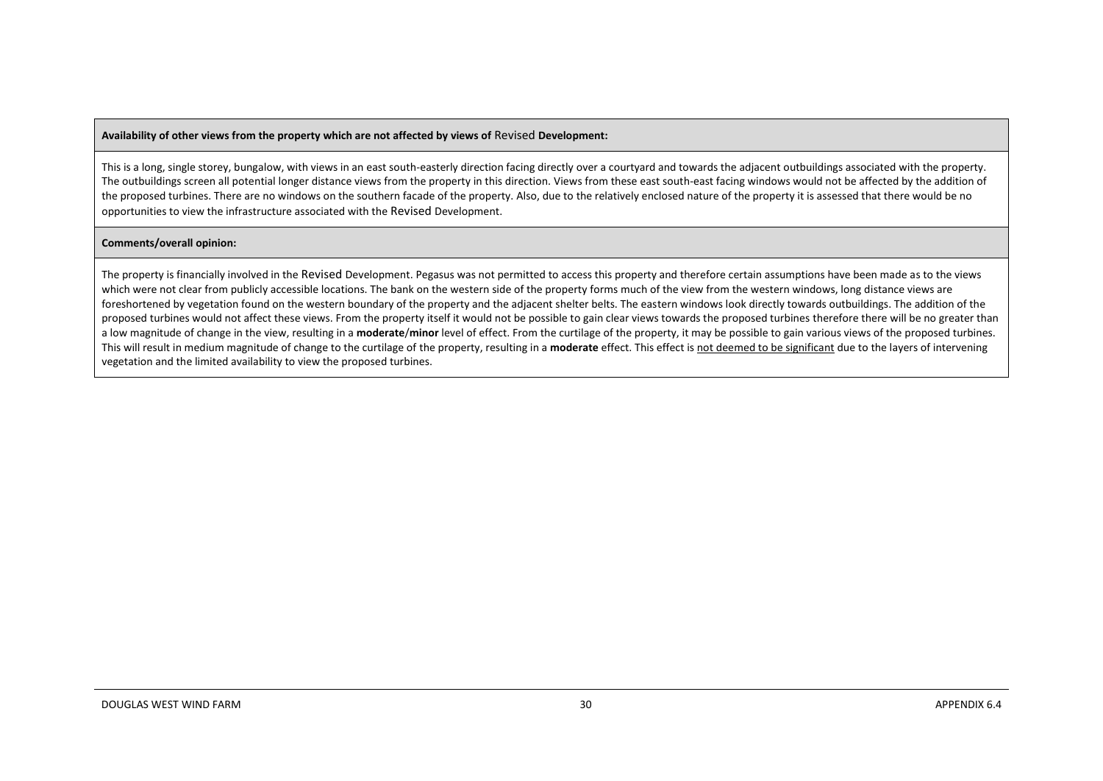This is a long, single storey, bungalow, with views in an east south-easterly direction facing directly over a courtyard and towards the adjacent outbuildings associated with the property. The outbuildings screen all potential longer distance views from the property in this direction. Views from these east south-east facing windows would not be affected by the addition of the proposed turbines. There are no windows on the southern facade of the property. Also, due to the relatively enclosed nature of the property it is assessed that there would be no opportunities to view the infrastructure associated with the Revised Development.

#### **Comments/overall opinion:**

The property is financially involved in the Revised Development. Pegasus was not permitted to access this property and therefore certain assumptions have been made as to the views which were not clear from publicly accessible locations. The bank on the western side of the property forms much of the view from the western windows, long distance views are foreshortened by vegetation found on the western boundary of the property and the adjacent shelter belts. The eastern windows look directly towards outbuildings. The addition of the proposed turbines would not affect these views. From the property itself it would not be possible to gain clear views towards the proposed turbines therefore there will be no greater than a low magnitude of change in the view, resulting in a **moderate**/**minor** level of effect. From the curtilage of the property, it may be possible to gain various views of the proposed turbines. This will result in medium magnitude of change to the curtilage of the property, resulting in a **moderate** effect. This effect is not deemed to be significant due to the layers of intervening vegetation and the limited availability to view the proposed turbines.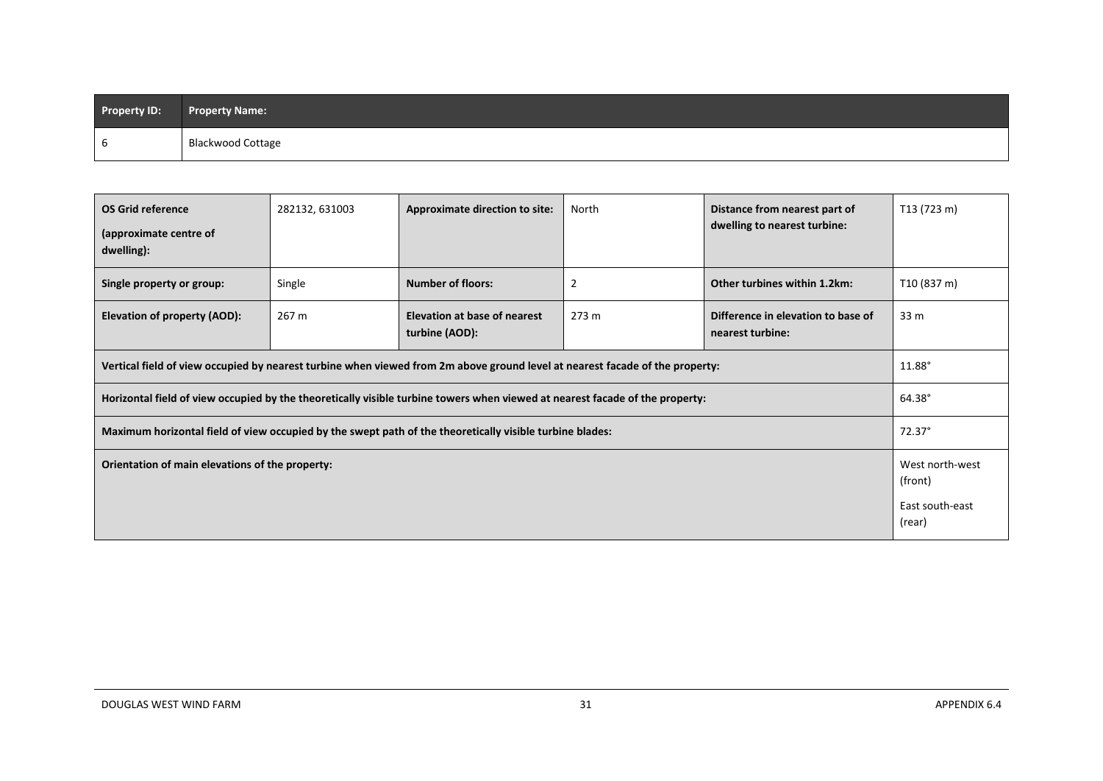| <b>Property ID:</b> | <b>Property Name:</b>    |
|---------------------|--------------------------|
| b                   | <b>Blackwood Cottage</b> |

| OS Grid reference<br>(approximate centre of<br>dwelling):                                                                    | 282132, 631003 | <b>Approximate direction to site:</b>                 | North | Distance from nearest part of<br>dwelling to nearest turbine: | T13 (723 m)     |  |  |
|------------------------------------------------------------------------------------------------------------------------------|----------------|-------------------------------------------------------|-------|---------------------------------------------------------------|-----------------|--|--|
| Single property or group:                                                                                                    | Single         | <b>Number of floors:</b>                              | 2     | Other turbines within 1.2km:                                  | T10 (837 m)     |  |  |
| Elevation of property (AOD):                                                                                                 | 267 m          | <b>Elevation at base of nearest</b><br>turbine (AOD): | 273 m | Difference in elevation to base of<br>nearest turbine:        | 33 m            |  |  |
| Vertical field of view occupied by nearest turbine when viewed from 2m above ground level at nearest facade of the property: |                |                                                       |       |                                                               | 11.88°          |  |  |
| Horizontal field of view occupied by the theoretically visible turbine towers when viewed at nearest facade of the property: |                |                                                       |       |                                                               | $64.38^\circ$   |  |  |
| Maximum horizontal field of view occupied by the swept path of the theoretically visible turbine blades:                     |                |                                                       |       |                                                               | $72.37^{\circ}$ |  |  |
| Orientation of main elevations of the property:                                                                              |                |                                                       |       |                                                               |                 |  |  |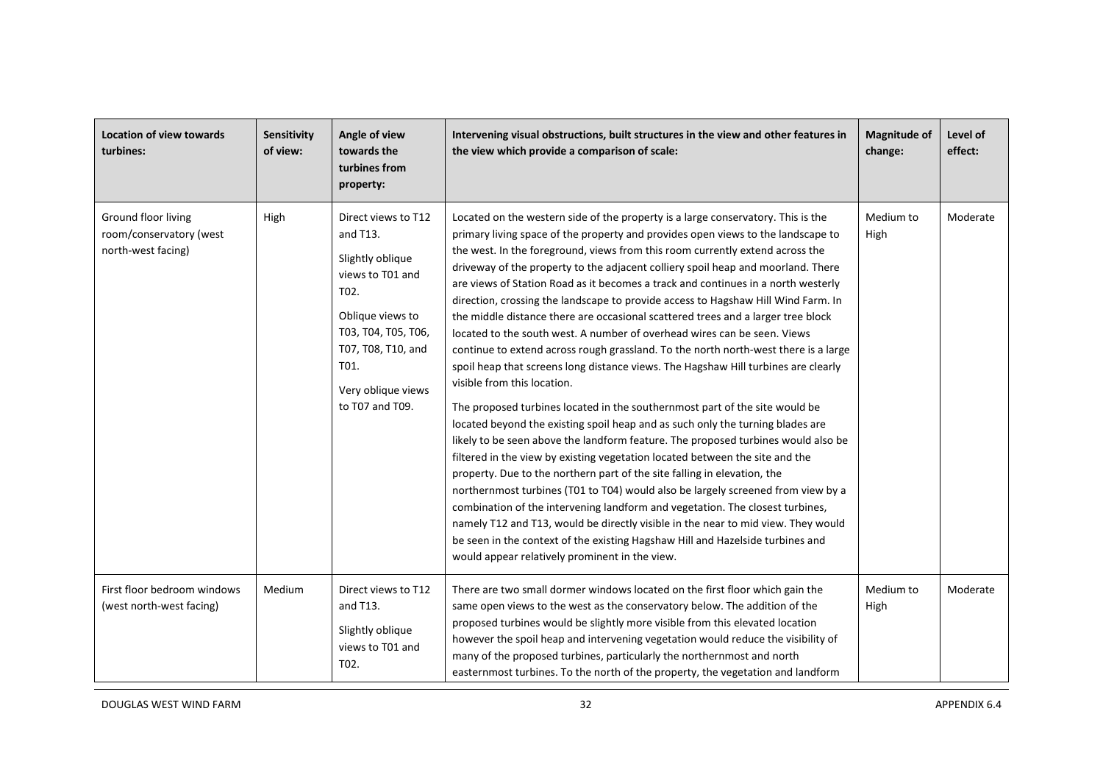| <b>Location of view towards</b><br>turbines:                         | Sensitivity<br>of view: | Angle of view<br>towards the<br>turbines from<br>property:                                                                                                                                        | Intervening visual obstructions, built structures in the view and other features in<br><b>Magnitude of</b><br>the view which provide a comparison of scale:<br>change:                                                                                                                                                                                                                                                                                                                                                                                                                                                                                                                                                                                                                                                                                                                                                                                                                                                                                                                                                                                                                                                                                                                                                                                                                                                                                                                                                                                                                                                                                                                                          |                   | Level of<br>effect: |
|----------------------------------------------------------------------|-------------------------|---------------------------------------------------------------------------------------------------------------------------------------------------------------------------------------------------|-----------------------------------------------------------------------------------------------------------------------------------------------------------------------------------------------------------------------------------------------------------------------------------------------------------------------------------------------------------------------------------------------------------------------------------------------------------------------------------------------------------------------------------------------------------------------------------------------------------------------------------------------------------------------------------------------------------------------------------------------------------------------------------------------------------------------------------------------------------------------------------------------------------------------------------------------------------------------------------------------------------------------------------------------------------------------------------------------------------------------------------------------------------------------------------------------------------------------------------------------------------------------------------------------------------------------------------------------------------------------------------------------------------------------------------------------------------------------------------------------------------------------------------------------------------------------------------------------------------------------------------------------------------------------------------------------------------------|-------------------|---------------------|
| Ground floor living<br>room/conservatory (west<br>north-west facing) | High                    | Direct views to T12<br>and T13.<br>Slightly oblique<br>views to T01 and<br>T02.<br>Oblique views to<br>T03, T04, T05, T06,<br>T07, T08, T10, and<br>T01.<br>Very oblique views<br>to T07 and T09. | Located on the western side of the property is a large conservatory. This is the<br>primary living space of the property and provides open views to the landscape to<br>the west. In the foreground, views from this room currently extend across the<br>driveway of the property to the adjacent colliery spoil heap and moorland. There<br>are views of Station Road as it becomes a track and continues in a north westerly<br>direction, crossing the landscape to provide access to Hagshaw Hill Wind Farm. In<br>the middle distance there are occasional scattered trees and a larger tree block<br>located to the south west. A number of overhead wires can be seen. Views<br>continue to extend across rough grassland. To the north north-west there is a large<br>spoil heap that screens long distance views. The Hagshaw Hill turbines are clearly<br>visible from this location.<br>The proposed turbines located in the southernmost part of the site would be<br>located beyond the existing spoil heap and as such only the turning blades are<br>likely to be seen above the landform feature. The proposed turbines would also be<br>filtered in the view by existing vegetation located between the site and the<br>property. Due to the northern part of the site falling in elevation, the<br>northernmost turbines (T01 to T04) would also be largely screened from view by a<br>combination of the intervening landform and vegetation. The closest turbines,<br>namely T12 and T13, would be directly visible in the near to mid view. They would<br>be seen in the context of the existing Hagshaw Hill and Hazelside turbines and<br>would appear relatively prominent in the view. | Medium to<br>High | Moderate            |
| First floor bedroom windows<br>(west north-west facing)              | Medium                  | Direct views to T12<br>and T13.<br>Slightly oblique<br>views to T01 and<br>T02.                                                                                                                   | There are two small dormer windows located on the first floor which gain the<br>same open views to the west as the conservatory below. The addition of the<br>proposed turbines would be slightly more visible from this elevated location<br>however the spoil heap and intervening vegetation would reduce the visibility of<br>many of the proposed turbines, particularly the northernmost and north<br>easternmost turbines. To the north of the property, the vegetation and landform                                                                                                                                                                                                                                                                                                                                                                                                                                                                                                                                                                                                                                                                                                                                                                                                                                                                                                                                                                                                                                                                                                                                                                                                                     | Medium to<br>High | Moderate            |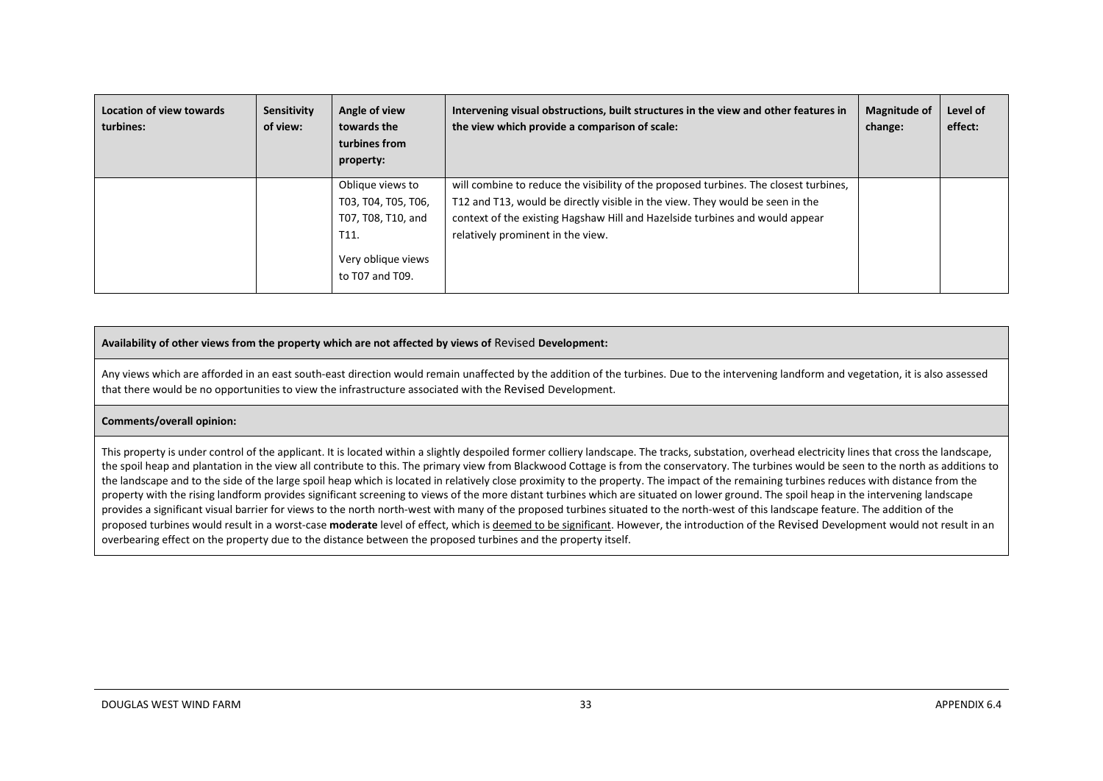| <b>Location of view towards</b><br>turbines: | Sensitivity<br>of view: | Angle of view<br>towards the<br>turbines from<br>property:                                                     | Intervening visual obstructions, built structures in the view and other features in<br>the view which provide a comparison of scale:                                                                                                                                                        | <b>Magnitude of</b><br>change: | Level of<br>effect: |
|----------------------------------------------|-------------------------|----------------------------------------------------------------------------------------------------------------|---------------------------------------------------------------------------------------------------------------------------------------------------------------------------------------------------------------------------------------------------------------------------------------------|--------------------------------|---------------------|
|                                              |                         | Oblique views to<br>T03, T04, T05, T06,<br>T07, T08, T10, and<br>T11.<br>Very oblique views<br>to T07 and T09. | will combine to reduce the visibility of the proposed turbines. The closest turbines,<br>T12 and T13, would be directly visible in the view. They would be seen in the<br>context of the existing Hagshaw Hill and Hazelside turbines and would appear<br>relatively prominent in the view. |                                |                     |

Any views which are afforded in an east south-east direction would remain unaffected by the addition of the turbines. Due to the intervening landform and vegetation, it is also assessed that there would be no opportunities to view the infrastructure associated with the Revised Development.

#### **Comments/overall opinion:**

This property is under control of the applicant. It is located within a slightly despoiled former colliery landscape. The tracks, substation, overhead electricity lines that cross the landscape. the spoil heap and plantation in the view all contribute to this. The primary view from Blackwood Cottage is from the conservatory. The turbines would be seen to the north as additions to the landscape and to the side of the large spoil heap which is located in relatively close proximity to the property. The impact of the remaining turbines reduces with distance from the property with the rising landform provides significant screening to views of the more distant turbines which are situated on lower ground. The spoil heap in the intervening landscape provides a significant visual barrier for views to the north north-west with many of the proposed turbines situated to the north-west of this landscape feature. The addition of the proposed turbines would result in a worst-case **moderate** level of effect, which is deemed to be significant. However, the introduction of the Revised Development would not result in an overbearing effect on the property due to the distance between the proposed turbines and the property itself.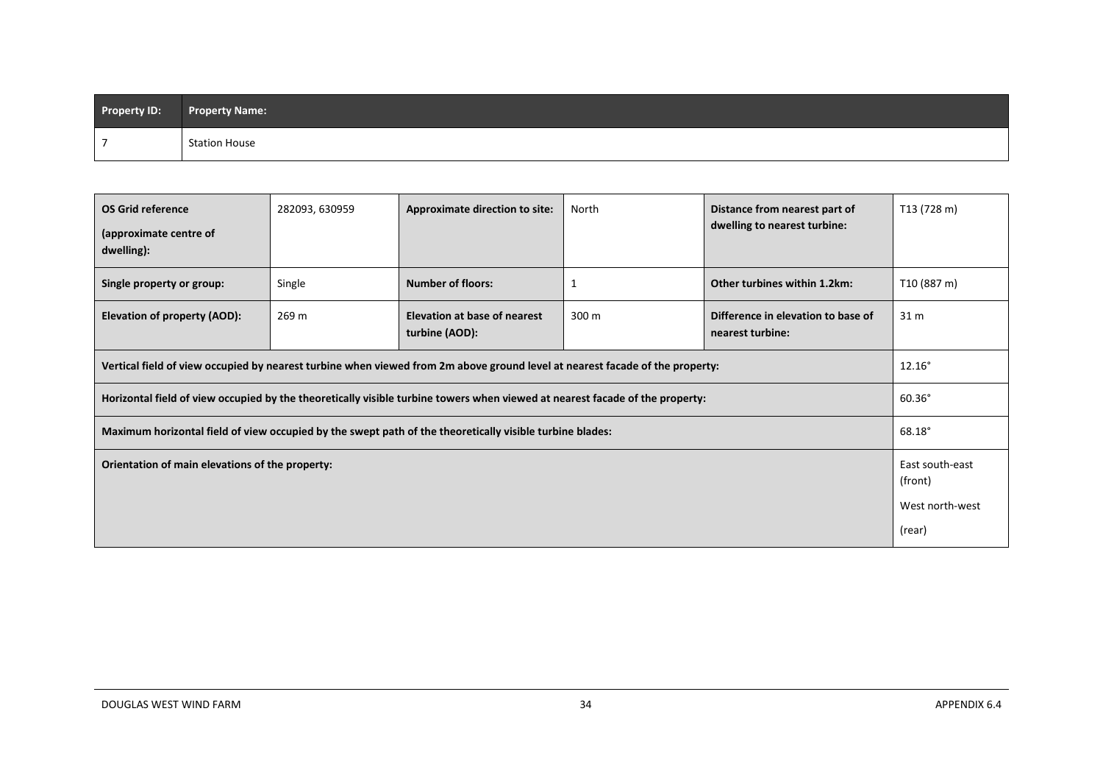| Property ID:   | Property Name:       |
|----------------|----------------------|
| $\overline{ }$ | <b>Station House</b> |

| OS Grid reference<br>(approximate centre of<br>dwelling):                                                                    | 282093, 630959   | <b>Approximate direction to site:</b>          | North            | Distance from nearest part of<br>dwelling to nearest turbine: | T13 (728 m)     |  |  |
|------------------------------------------------------------------------------------------------------------------------------|------------------|------------------------------------------------|------------------|---------------------------------------------------------------|-----------------|--|--|
| Single property or group:                                                                                                    | Single           | <b>Number of floors:</b>                       |                  | Other turbines within 1.2km:                                  | T10 (887 m)     |  |  |
| Elevation of property (AOD):                                                                                                 | 269 <sub>m</sub> | Elevation at base of nearest<br>turbine (AOD): | 300 <sub>m</sub> | Difference in elevation to base of<br>nearest turbine:        | 31 <sub>m</sub> |  |  |
| Vertical field of view occupied by nearest turbine when viewed from 2m above ground level at nearest facade of the property: |                  |                                                |                  |                                                               | $12.16^{\circ}$ |  |  |
| Horizontal field of view occupied by the theoretically visible turbine towers when viewed at nearest facade of the property: |                  |                                                |                  |                                                               | $60.36^\circ$   |  |  |
| Maximum horizontal field of view occupied by the swept path of the theoretically visible turbine blades:                     |                  |                                                |                  |                                                               | 68.18°          |  |  |
| Orientation of main elevations of the property:                                                                              |                  |                                                |                  |                                                               |                 |  |  |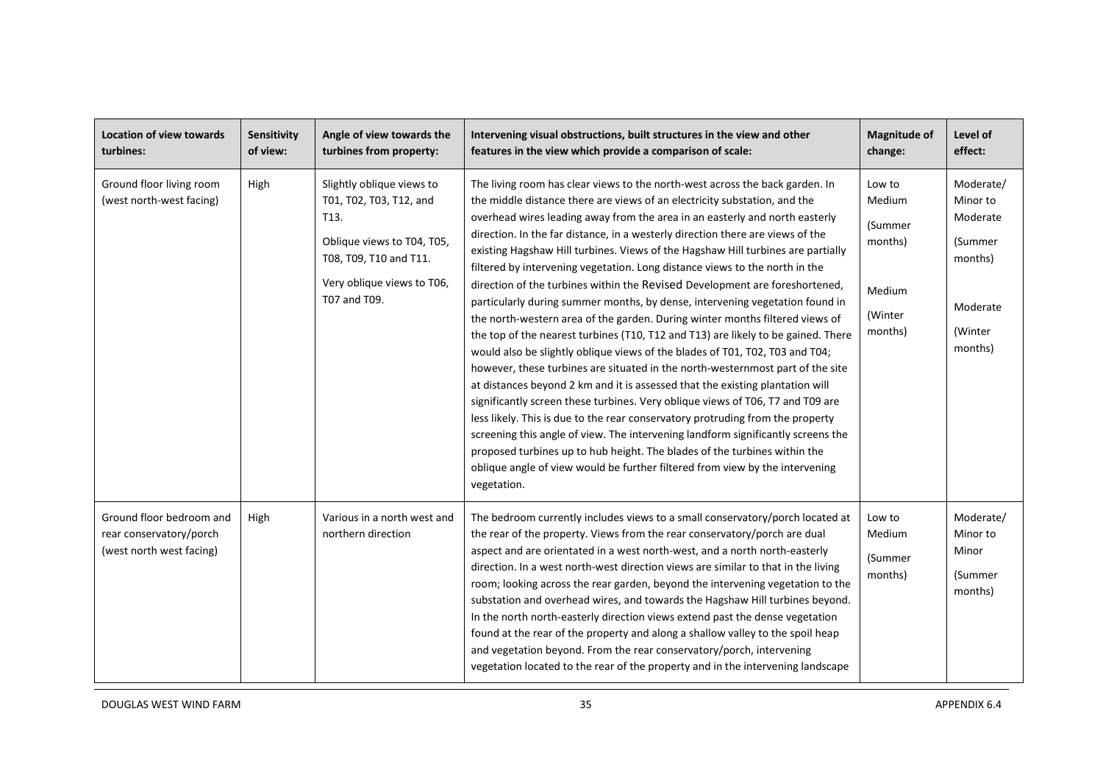| <b>Location of view towards</b><br>turbines:                                    | <b>Sensitivity</b><br>of view: | Angle of view towards the<br>turbines from property:                                                                                                               | Intervening visual obstructions, built structures in the view and other<br>features in the view which provide a comparison of scale:                                                                                                                                                                                                                                                                                                                                                                                                                                                                                                                                                                                                                                                                                                                                                                                                                                                                                                                                                                                                                                                                                                                                                                                                                                                                                                                                                                                     | <b>Magnitude of</b><br>change:                                         | Level of<br>effect:                                                                       |
|---------------------------------------------------------------------------------|--------------------------------|--------------------------------------------------------------------------------------------------------------------------------------------------------------------|--------------------------------------------------------------------------------------------------------------------------------------------------------------------------------------------------------------------------------------------------------------------------------------------------------------------------------------------------------------------------------------------------------------------------------------------------------------------------------------------------------------------------------------------------------------------------------------------------------------------------------------------------------------------------------------------------------------------------------------------------------------------------------------------------------------------------------------------------------------------------------------------------------------------------------------------------------------------------------------------------------------------------------------------------------------------------------------------------------------------------------------------------------------------------------------------------------------------------------------------------------------------------------------------------------------------------------------------------------------------------------------------------------------------------------------------------------------------------------------------------------------------------|------------------------------------------------------------------------|-------------------------------------------------------------------------------------------|
| Ground floor living room<br>(west north-west facing)                            | High                           | Slightly oblique views to<br>T01, T02, T03, T12, and<br>T13.<br>Oblique views to T04, T05,<br>T08, T09, T10 and T11.<br>Very oblique views to T06,<br>T07 and T09. | The living room has clear views to the north-west across the back garden. In<br>the middle distance there are views of an electricity substation, and the<br>overhead wires leading away from the area in an easterly and north easterly<br>direction. In the far distance, in a westerly direction there are views of the<br>existing Hagshaw Hill turbines. Views of the Hagshaw Hill turbines are partially<br>filtered by intervening vegetation. Long distance views to the north in the<br>direction of the turbines within the Revised Development are foreshortened,<br>particularly during summer months, by dense, intervening vegetation found in<br>the north-western area of the garden. During winter months filtered views of<br>the top of the nearest turbines (T10, T12 and T13) are likely to be gained. There<br>would also be slightly oblique views of the blades of T01, T02, T03 and T04;<br>however, these turbines are situated in the north-westernmost part of the site<br>at distances beyond 2 km and it is assessed that the existing plantation will<br>significantly screen these turbines. Very oblique views of T06, T7 and T09 are<br>less likely. This is due to the rear conservatory protruding from the property<br>screening this angle of view. The intervening landform significantly screens the<br>proposed turbines up to hub height. The blades of the turbines within the<br>oblique angle of view would be further filtered from view by the intervening<br>vegetation. | Low to<br>Medium<br>(Summer<br>months)<br>Medium<br>(Winter<br>months) | Moderate/<br>Minor to<br>Moderate<br>(Summer<br>months)<br>Moderate<br>(Winter<br>months) |
| Ground floor bedroom and<br>rear conservatory/porch<br>(west north west facing) | High                           | Various in a north west and<br>northern direction                                                                                                                  | The bedroom currently includes views to a small conservatory/porch located at<br>the rear of the property. Views from the rear conservatory/porch are dual<br>aspect and are orientated in a west north-west, and a north north-easterly<br>direction. In a west north-west direction views are similar to that in the living<br>room; looking across the rear garden, beyond the intervening vegetation to the<br>substation and overhead wires, and towards the Hagshaw Hill turbines beyond.<br>In the north north-easterly direction views extend past the dense vegetation<br>found at the rear of the property and along a shallow valley to the spoil heap<br>and vegetation beyond. From the rear conservatory/porch, intervening<br>vegetation located to the rear of the property and in the intervening landscape                                                                                                                                                                                                                                                                                                                                                                                                                                                                                                                                                                                                                                                                                             | Low to<br>Medium<br><b>(Summer</b><br>months)                          | Moderate/<br>Minor to<br>Minor<br>(Summer<br>months)                                      |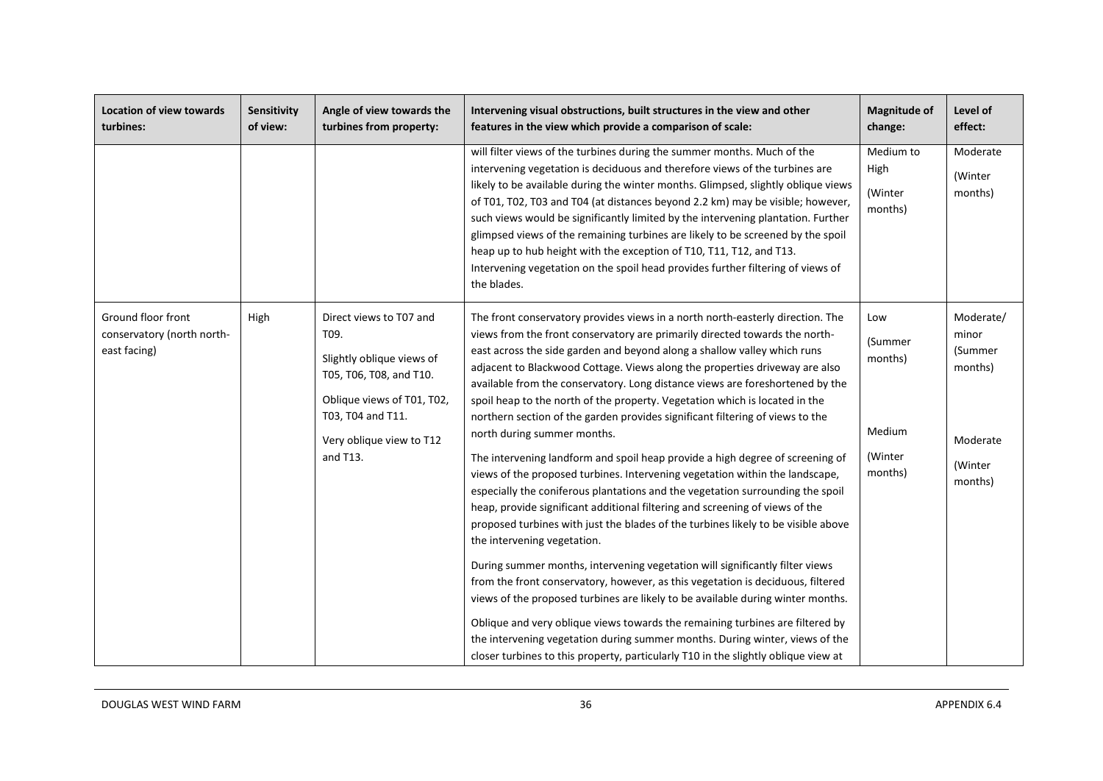| <b>Location of view towards</b><br>turbines:                     | Sensitivity<br>of view: | Angle of view towards the<br>turbines from property:                                                                                                                               | Intervening visual obstructions, built structures in the view and other<br>features in the view which provide a comparison of scale:                                                                                                                                                                                                                                                                                                                                                                                                                                                                                                                                                                                                                                                                                                                                                                                                                                                                                                                                                                                                                                                                                                                                                                                                                                                                                                                                                                                                                                         | <b>Magnitude of</b><br>change:                            | Level of<br>effect:                                                        |
|------------------------------------------------------------------|-------------------------|------------------------------------------------------------------------------------------------------------------------------------------------------------------------------------|------------------------------------------------------------------------------------------------------------------------------------------------------------------------------------------------------------------------------------------------------------------------------------------------------------------------------------------------------------------------------------------------------------------------------------------------------------------------------------------------------------------------------------------------------------------------------------------------------------------------------------------------------------------------------------------------------------------------------------------------------------------------------------------------------------------------------------------------------------------------------------------------------------------------------------------------------------------------------------------------------------------------------------------------------------------------------------------------------------------------------------------------------------------------------------------------------------------------------------------------------------------------------------------------------------------------------------------------------------------------------------------------------------------------------------------------------------------------------------------------------------------------------------------------------------------------------|-----------------------------------------------------------|----------------------------------------------------------------------------|
|                                                                  |                         |                                                                                                                                                                                    | will filter views of the turbines during the summer months. Much of the<br>intervening vegetation is deciduous and therefore views of the turbines are<br>likely to be available during the winter months. Glimpsed, slightly oblique views<br>of T01, T02, T03 and T04 (at distances beyond 2.2 km) may be visible; however,<br>such views would be significantly limited by the intervening plantation. Further<br>glimpsed views of the remaining turbines are likely to be screened by the spoil<br>heap up to hub height with the exception of T10, T11, T12, and T13.<br>Intervening vegetation on the spoil head provides further filtering of views of<br>the blades.                                                                                                                                                                                                                                                                                                                                                                                                                                                                                                                                                                                                                                                                                                                                                                                                                                                                                                | Medium to<br>High<br>(Winter<br>months)                   | Moderate<br>(Winter<br>months)                                             |
| Ground floor front<br>conservatory (north north-<br>east facing) | High                    | Direct views to T07 and<br>T09.<br>Slightly oblique views of<br>T05, T06, T08, and T10.<br>Oblique views of T01, T02,<br>T03, T04 and T11.<br>Very oblique view to T12<br>and T13. | The front conservatory provides views in a north north-easterly direction. The<br>views from the front conservatory are primarily directed towards the north-<br>east across the side garden and beyond along a shallow valley which runs<br>adjacent to Blackwood Cottage. Views along the properties driveway are also<br>available from the conservatory. Long distance views are foreshortened by the<br>spoil heap to the north of the property. Vegetation which is located in the<br>northern section of the garden provides significant filtering of views to the<br>north during summer months.<br>The intervening landform and spoil heap provide a high degree of screening of<br>views of the proposed turbines. Intervening vegetation within the landscape,<br>especially the coniferous plantations and the vegetation surrounding the spoil<br>heap, provide significant additional filtering and screening of views of the<br>proposed turbines with just the blades of the turbines likely to be visible above<br>the intervening vegetation.<br>During summer months, intervening vegetation will significantly filter views<br>from the front conservatory, however, as this vegetation is deciduous, filtered<br>views of the proposed turbines are likely to be available during winter months.<br>Oblique and very oblique views towards the remaining turbines are filtered by<br>the intervening vegetation during summer months. During winter, views of the<br>closer turbines to this property, particularly T10 in the slightly oblique view at | Low<br>(Summer<br>months)<br>Medium<br>(Winter<br>months) | Moderate/<br>minor<br>(Summer<br>months)<br>Moderate<br>(Winter<br>months) |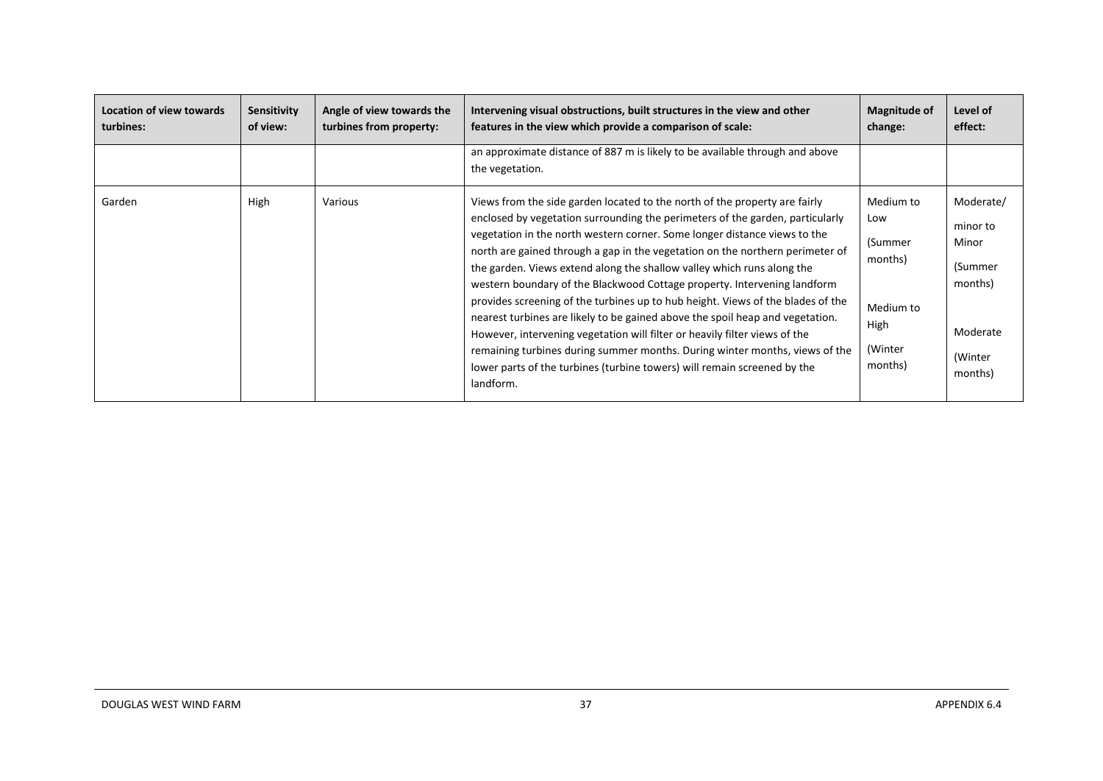| <b>Location of view towards</b><br>turbines: | Sensitivity<br>of view: | Angle of view towards the<br>turbines from property: | Intervening visual obstructions, built structures in the view and other<br>features in the view which provide a comparison of scale:                                                                                                                                                                                                                                                                                                                                                                                                                                                                                                                                                                                                                                                                                                                                                                      | <b>Magnitude of</b><br>change:                                                    | Level of<br>effect:                                                                    |
|----------------------------------------------|-------------------------|------------------------------------------------------|-----------------------------------------------------------------------------------------------------------------------------------------------------------------------------------------------------------------------------------------------------------------------------------------------------------------------------------------------------------------------------------------------------------------------------------------------------------------------------------------------------------------------------------------------------------------------------------------------------------------------------------------------------------------------------------------------------------------------------------------------------------------------------------------------------------------------------------------------------------------------------------------------------------|-----------------------------------------------------------------------------------|----------------------------------------------------------------------------------------|
|                                              |                         |                                                      | an approximate distance of 887 m is likely to be available through and above<br>the vegetation.                                                                                                                                                                                                                                                                                                                                                                                                                                                                                                                                                                                                                                                                                                                                                                                                           |                                                                                   |                                                                                        |
| Garden                                       | High                    | Various                                              | Views from the side garden located to the north of the property are fairly<br>enclosed by vegetation surrounding the perimeters of the garden, particularly<br>vegetation in the north western corner. Some longer distance views to the<br>north are gained through a gap in the vegetation on the northern perimeter of<br>the garden. Views extend along the shallow valley which runs along the<br>western boundary of the Blackwood Cottage property. Intervening landform<br>provides screening of the turbines up to hub height. Views of the blades of the<br>nearest turbines are likely to be gained above the spoil heap and vegetation.<br>However, intervening vegetation will filter or heavily filter views of the<br>remaining turbines during summer months. During winter months, views of the<br>lower parts of the turbines (turbine towers) will remain screened by the<br>landform. | Medium to<br>Low<br>(Summer<br>months)<br>Medium to<br>High<br>(Winter<br>months) | Moderate/<br>minor to<br>Minor<br>(Summer<br>months)<br>Moderate<br>(Winter<br>months) |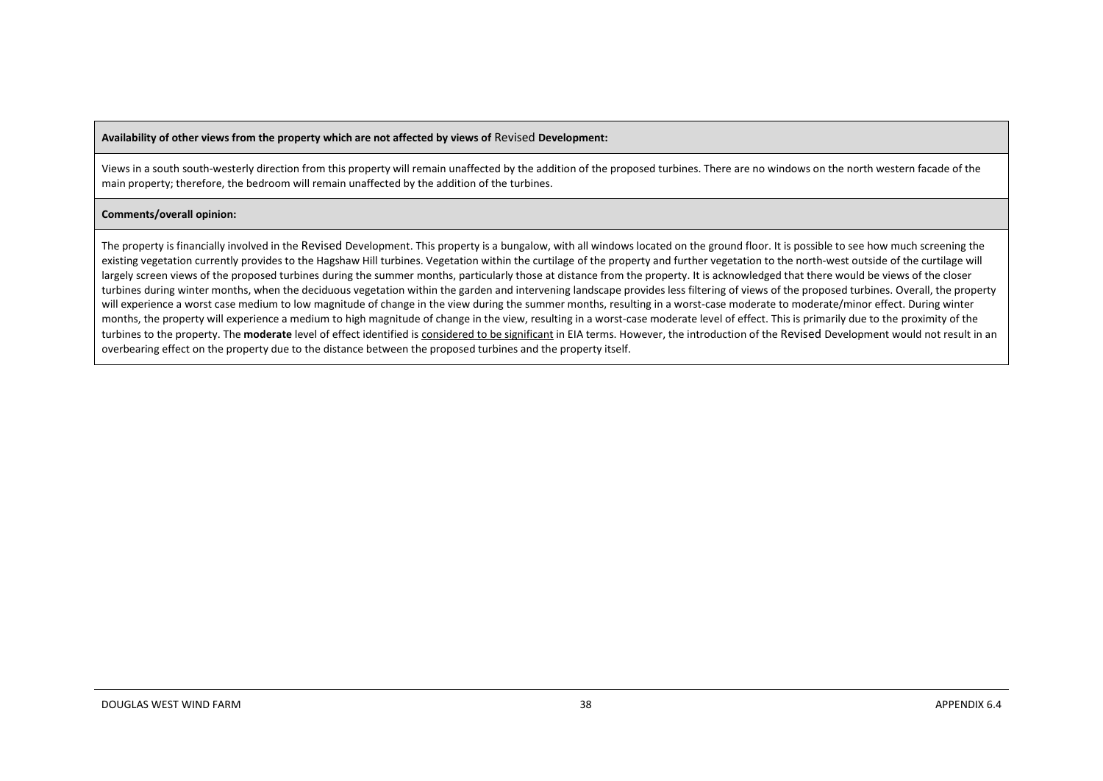Views in a south south-westerly direction from this property will remain unaffected by the addition of the proposed turbines. There are no windows on the north western facade of the main property; therefore, the bedroom will remain unaffected by the addition of the turbines.

#### **Comments/overall opinion:**

The property is financially involved in the Revised Development. This property is a bungalow, with all windows located on the ground floor. It is possible to see how much screening the existing vegetation currently provides to the Hagshaw Hill turbines. Vegetation within the curtilage of the property and further vegetation to the north-west outside of the curtilage will largely screen views of the proposed turbines during the summer months, particularly those at distance from the property. It is acknowledged that there would be views of the closer turbines during winter months, when the deciduous vegetation within the garden and intervening landscape provides less filtering of views of the proposed turbines. Overall, the property will experience a worst case medium to low magnitude of change in the view during the summer months, resulting in a worst-case moderate to moderate/minor effect. During winter months, the property will experience a medium to high magnitude of change in the view, resulting in a worst-case moderate level of effect. This is primarily due to the proximity of the turbines to the property. The **moderate** level of effect identified is considered to be significant in EIA terms. However, the introduction of the Revised Development would not result in an overbearing effect on the property due to the distance between the proposed turbines and the property itself.